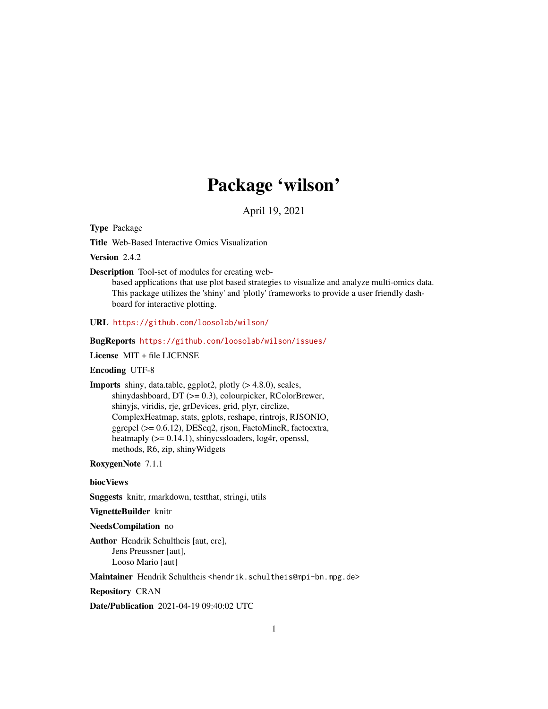## Package 'wilson'

April 19, 2021

<span id="page-0-0"></span>Type Package

Title Web-Based Interactive Omics Visualization

Version 2.4.2

Description Tool-set of modules for creating web-

based applications that use plot based strategies to visualize and analyze multi-omics data. This package utilizes the 'shiny' and 'plotly' frameworks to provide a user friendly dashboard for interactive plotting.

URL <https://github.com/loosolab/wilson/>

#### BugReports <https://github.com/loosolab/wilson/issues/>

License MIT + file LICENSE

#### Encoding UTF-8

Imports shiny, data.table, ggplot2, plotly (> 4.8.0), scales, shinydashboard, DT (>= 0.3), colourpicker, RColorBrewer, shinyjs, viridis, rje, grDevices, grid, plyr, circlize, ComplexHeatmap, stats, gplots, reshape, rintrojs, RJSONIO, ggrepel (>= 0.6.12), DESeq2, rjson, FactoMineR, factoextra, heatmaply  $(>= 0.14.1)$ , shinycssloaders, log4r, openssl, methods, R6, zip, shinyWidgets

RoxygenNote 7.1.1

#### biocViews

Suggests knitr, rmarkdown, testthat, stringi, utils

VignetteBuilder knitr

NeedsCompilation no

Author Hendrik Schultheis [aut, cre], Jens Preussner [aut], Looso Mario [aut]

Maintainer Hendrik Schultheis <hendrik.schultheis@mpi-bn.mpg.de>

Repository CRAN

Date/Publication 2021-04-19 09:40:02 UTC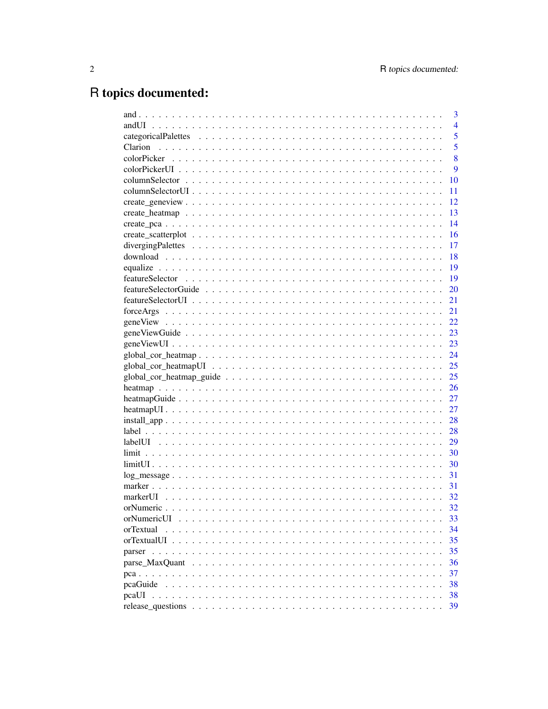# R topics documented:

|             | 3              |
|-------------|----------------|
| andUI       | $\overline{4}$ |
|             | 5              |
| Clarion     | 5              |
|             | 8              |
|             | 9              |
|             | 10             |
|             | 11             |
|             | 12             |
|             | 13             |
|             | 14             |
|             | 16             |
|             | 17             |
|             | 18             |
|             | 19             |
|             | 19             |
|             | 20             |
|             | 21             |
|             | 21             |
|             | 22             |
|             | 23             |
|             | 23             |
|             | 24             |
|             | 25             |
|             | 25             |
|             | 26             |
|             | 27             |
|             | 27             |
|             | 28             |
|             | 28             |
|             | 29             |
|             | 30             |
|             | 30             |
|             | 31             |
|             | 31             |
| markerUL    | 32             |
|             | 32             |
| orNumericUI | 33             |
| orTextual   | 34             |
|             | 35             |
|             | 35             |
|             | 36             |
|             | 37             |
| pcaGuide    | 38             |
| pcaUI       | 38             |
|             | 39             |
|             |                |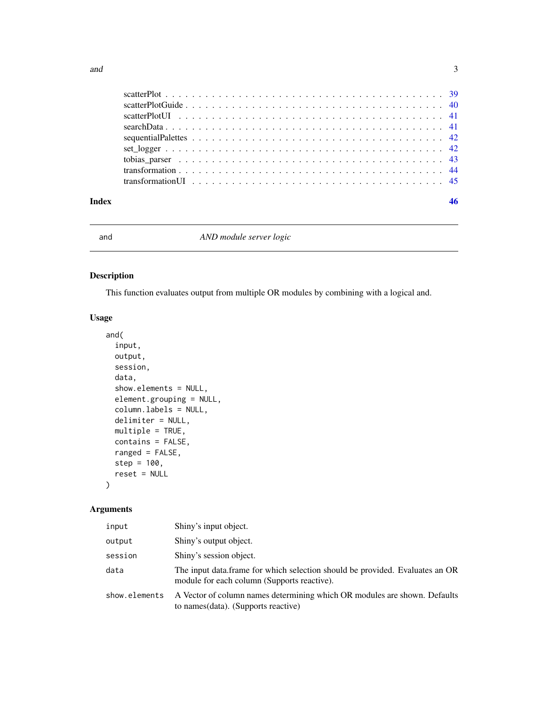<span id="page-2-0"></span>

| Index | 46 |  |
|-------|----|--|
|       |    |  |
|       |    |  |
|       |    |  |
|       |    |  |
|       |    |  |
|       |    |  |
|       |    |  |
|       |    |  |
|       |    |  |

and *AND module server logic*

#### Description

This function evaluates output from multiple OR modules by combining with a logical and.

#### Usage

```
and(
  input,
 output,
 session,
  data,
  show.elements = NULL,
 element.grouping = NULL,
 column.labels = NULL,
  delimiter = NULL,
 multiple = TRUE,
 contains = FALSE,
  ranged = FALSE,
  step = 100,
  reset = NULL
```
### )

| input         | Shiny's input object.                                                                                                       |
|---------------|-----------------------------------------------------------------------------------------------------------------------------|
| output        | Shiny's output object.                                                                                                      |
| session       | Shiny's session object.                                                                                                     |
| data          | The input data frame for which selection should be provided. Evaluates an OR<br>module for each column (Supports reactive). |
| show.elements | A Vector of column names determining which OR modules are shown. Defaults<br>to names (data). (Supports reactive)           |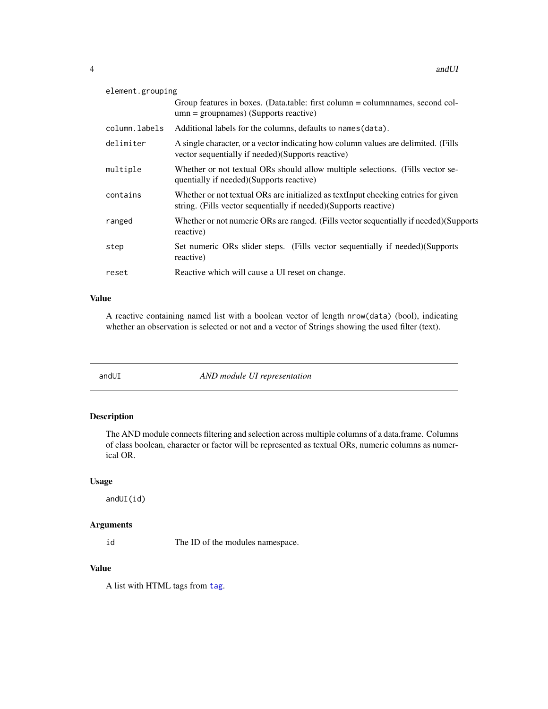<span id="page-3-0"></span>

| element.grouping |                                                                                                                                                         |  |
|------------------|---------------------------------------------------------------------------------------------------------------------------------------------------------|--|
|                  | Group features in boxes. (Data.table: first column = column ames, second col-<br>$umn = groupnames)$ (Supports reactive)                                |  |
| column.labels    | Additional labels for the columns, defaults to names (data).                                                                                            |  |
| delimiter        | A single character, or a vector indicating how column values are delimited. (Fills<br>vector sequentially if needed) (Supports reactive)                |  |
| multiple         | Whether or not textual ORs should allow multiple selections. (Fills vector se-<br>quentially if needed)(Supports reactive)                              |  |
| contains         | Whether or not textual ORs are initialized as textInput checking entries for given<br>string. (Fills vector sequentially if needed) (Supports reactive) |  |
| ranged           | Whether or not numeric ORs are ranged. (Fills vector sequentially if needed) (Supports<br>reactive)                                                     |  |
| step             | Set numeric ORs slider steps. (Fills vector sequentially if needed) (Supports<br>reactive)                                                              |  |
| reset            | Reactive which will cause a UI reset on change.                                                                                                         |  |

#### Value

A reactive containing named list with a boolean vector of length nrow(data) (bool), indicating whether an observation is selected or not and a vector of Strings showing the used filter (text).

andUI *AND module UI representation*

#### Description

The AND module connects filtering and selection across multiple columns of a data.frame. Columns of class boolean, character or factor will be represented as textual ORs, numeric columns as numerical OR.

#### Usage

andUI(id)

#### Arguments

id The ID of the modules namespace.

#### Value

A list with HTML tags from [tag](#page-0-0).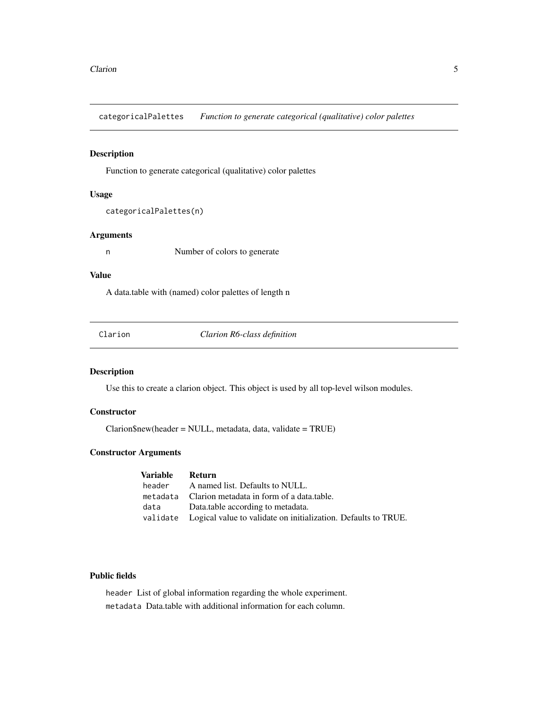<span id="page-4-0"></span>categoricalPalettes *Function to generate categorical (qualitative) color palettes*

#### Description

Function to generate categorical (qualitative) color palettes

#### Usage

```
categoricalPalettes(n)
```
#### Arguments

n Number of colors to generate

#### Value

A data.table with (named) color palettes of length n

<span id="page-4-1"></span>Clarion *Clarion R6-class definition*

#### Description

Use this to create a clarion object. This object is used by all top-level wilson modules.

#### **Constructor**

Clarion\$new(header = NULL, metadata, data, validate = TRUE)

#### Constructor Arguments

| Variable | – Return                                                                |
|----------|-------------------------------------------------------------------------|
|          | header A named list. Defaults to NULL.                                  |
|          | metadata Clarion metadata in form of a data.table.                      |
|          | data Data.table according to metadata.                                  |
|          | validate Logical value to validate on initialization. Defaults to TRUE. |

#### Public fields

header List of global information regarding the whole experiment. metadata Data.table with additional information for each column.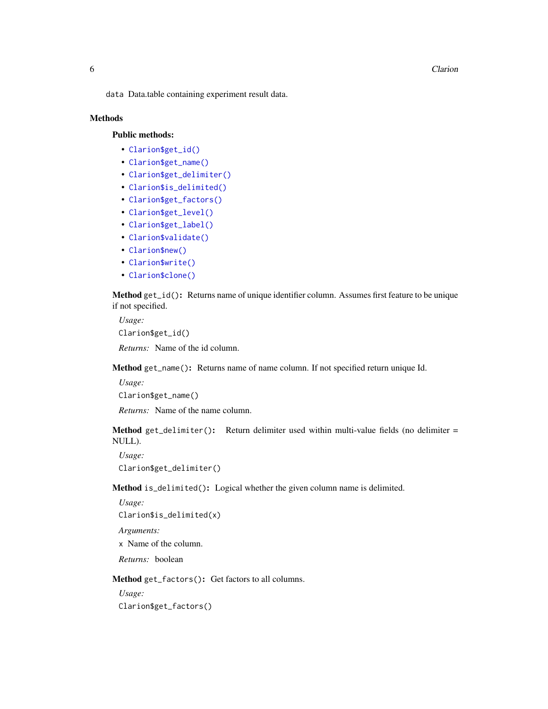#### **6** Clarion Clarion Control of the Clarion Clarion Clarion Clarion Clarion Clarion Clarion Clarion Clarion Clarion Clarion Clarion Clarion Clarion Clarion Clarion Clarion Clarion Clarion Clarion Clarion Clarion Clarion Cla

data Data.table containing experiment result data.

#### **Methods**

#### Public methods:

- [Clarion\\$get\\_id\(\)](#page-5-0)
- [Clarion\\$get\\_name\(\)](#page-5-1)
- [Clarion\\$get\\_delimiter\(\)](#page-5-2)
- [Clarion\\$is\\_delimited\(\)](#page-5-3)
- [Clarion\\$get\\_factors\(\)](#page-5-4)
- [Clarion\\$get\\_level\(\)](#page-6-0)
- [Clarion\\$get\\_label\(\)](#page-6-1)
- [Clarion\\$validate\(\)](#page-6-2)
- [Clarion\\$new\(\)](#page-6-3)
- [Clarion\\$write\(\)](#page-6-4)
- [Clarion\\$clone\(\)](#page-7-1)

<span id="page-5-0"></span>Method get\_id(): Returns name of unique identifier column. Assumes first feature to be unique if not specified.

*Usage:* Clarion\$get\_id()

*Returns:* Name of the id column.

<span id="page-5-1"></span>Method get\_name(): Returns name of name column. If not specified return unique Id.

*Usage:* Clarion\$get\_name()

*Returns:* Name of the name column.

<span id="page-5-2"></span>Method get\_delimiter(): Return delimiter used within multi-value fields (no delimiter  $=$ NULL).

*Usage:* Clarion\$get\_delimiter()

<span id="page-5-3"></span>Method is\_delimited(): Logical whether the given column name is delimited.

*Usage:* Clarion\$is\_delimited(x)

*Arguments:*

x Name of the column.

*Returns:* boolean

<span id="page-5-4"></span>Method get\_factors(): Get factors to all columns.

*Usage:*

Clarion\$get\_factors()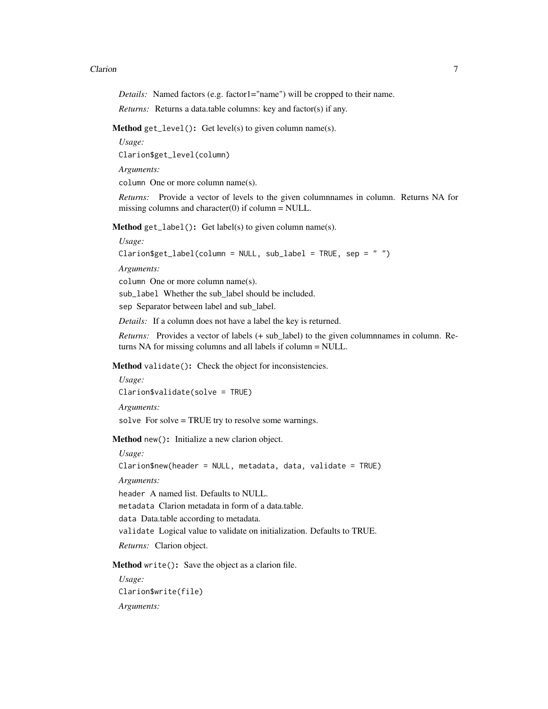#### Clarion 7 and 2008 and 2008 and 2008 and 2008 and 2008 and 2008 and 2008 and 2008 and 2008 and 2008 and 2008 and 2008 and 2008 and 2008 and 2008 and 2008 and 2008 and 2008 and 2008 and 2008 and 2008 and 2008 and 2008 and 2

*Details:* Named factors (e.g. factor1="name") will be cropped to their name.

*Returns:* Returns a data.table columns: key and factor(s) if any.

<span id="page-6-0"></span>Method get\_level(): Get level(s) to given column name(s).

*Usage:*

Clarion\$get\_level(column)

*Arguments:*

column One or more column name(s).

*Returns:* Provide a vector of levels to the given columnnames in column. Returns NA for missing columns and character $(0)$  if column = NULL.

<span id="page-6-1"></span>**Method**  $get\_label()$ : Get label(s) to given column name(s).

*Usage:*

Clarion\$get\_label(column = NULL, sub\_label = TRUE, sep = " ")

*Arguments:*

column One or more column name(s).

sub\_label Whether the sub\_label should be included.

sep Separator between label and sub\_label.

*Details:* If a column does not have a label the key is returned.

*Returns:* Provides a vector of labels (+ sub\_label) to the given columnnames in column. Returns NA for missing columns and all labels if column = NULL.

<span id="page-6-2"></span>Method validate(): Check the object for inconsistencies.

*Usage:* Clarion\$validate(solve = TRUE) *Arguments:*

solve For solve = TRUE try to resolve some warnings.

<span id="page-6-3"></span>Method new(): Initialize a new clarion object.

*Usage:*

Clarion\$new(header = NULL, metadata, data, validate = TRUE)

*Arguments:*

header A named list. Defaults to NULL.

metadata Clarion metadata in form of a data.table.

data Data.table according to metadata.

validate Logical value to validate on initialization. Defaults to TRUE.

*Returns:* Clarion object.

<span id="page-6-4"></span>Method write(): Save the object as a clarion file.

*Usage:* Clarion\$write(file) *Arguments:*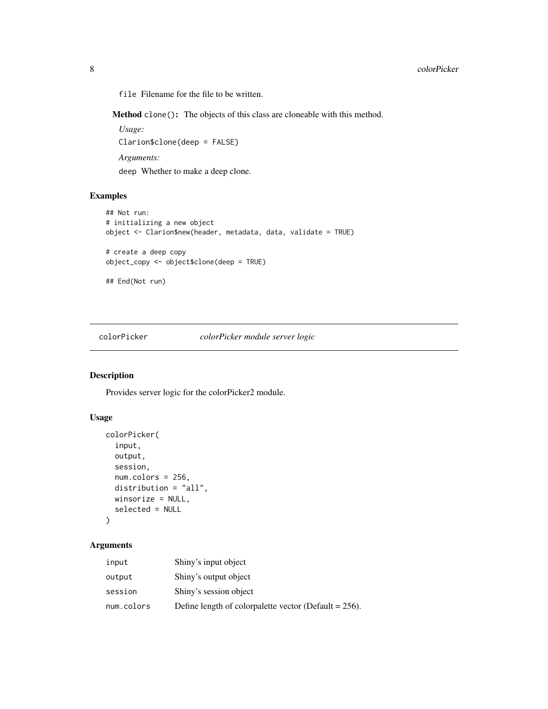<span id="page-7-0"></span>file Filename for the file to be written.

<span id="page-7-1"></span>Method clone(): The objects of this class are cloneable with this method.

*Usage:* Clarion\$clone(deep = FALSE)

*Arguments:*

deep Whether to make a deep clone.

#### Examples

```
## Not run:
# initializing a new object
object <- Clarion$new(header, metadata, data, validate = TRUE)
# create a deep copy
object_copy <- object$clone(deep = TRUE)
## End(Not run)
```
#### colorPicker *colorPicker module server logic*

#### Description

Provides server logic for the colorPicker2 module.

#### Usage

```
colorPicker(
  input,
  output,
  session,
  num.colors = 256,
  distribution = "all",
 winsorize = NULL,
  selected = NULL
)
```

| input      | Shiny's input object                                     |
|------------|----------------------------------------------------------|
| output     | Shiny's output object                                    |
| session    | Shiny's session object                                   |
| num.colors | Define length of colorpalette vector (Default = $256$ ). |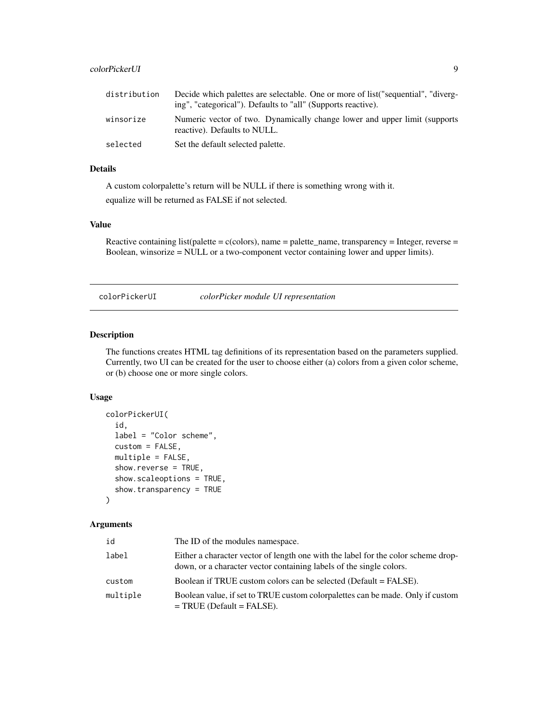#### <span id="page-8-0"></span>colorPickerUI 9

| distribution | Decide which palettes are selectable. One or more of list ("sequential", "diverg-<br>ing", "categorical"). Defaults to "all" (Supports reactive). |
|--------------|---------------------------------------------------------------------------------------------------------------------------------------------------|
| winsorize    | Numeric vector of two. Dynamically change lower and upper limit (supports)<br>reactive). Defaults to NULL.                                        |
| selected     | Set the default selected palette.                                                                                                                 |

#### Details

A custom colorpalette's return will be NULL if there is something wrong with it.

equalize will be returned as FALSE if not selected.

#### Value

Reactive containing list(palette =  $c$ (colors), name = palette\_name, transparency = Integer, reverse = Boolean, winsorize = NULL or a two-component vector containing lower and upper limits).

colorPickerUI *colorPicker module UI representation*

#### Description

The functions creates HTML tag definitions of its representation based on the parameters supplied. Currently, two UI can be created for the user to choose either (a) colors from a given color scheme, or (b) choose one or more single colors.

#### Usage

```
colorPickerUI(
  id,
  label = "Color scheme",
  custom = FALSE,
 multiple = FALSE,
  show.reverse = TRUE,
  show.scaleoptions = TRUE,
  show.transparency = TRUE
```
)

| id       | The ID of the modules namespace.                                                                                                                         |
|----------|----------------------------------------------------------------------------------------------------------------------------------------------------------|
| label    | Either a character vector of length one with the label for the color scheme drop-<br>down, or a character vector containing labels of the single colors. |
| custom   | Boolean if TRUE custom colors can be selected (Default = FALSE).                                                                                         |
| multiple | Boolean value, if set to TRUE custom colorpalettes can be made. Only if custom<br>$=$ TRUE (Default = FALSE).                                            |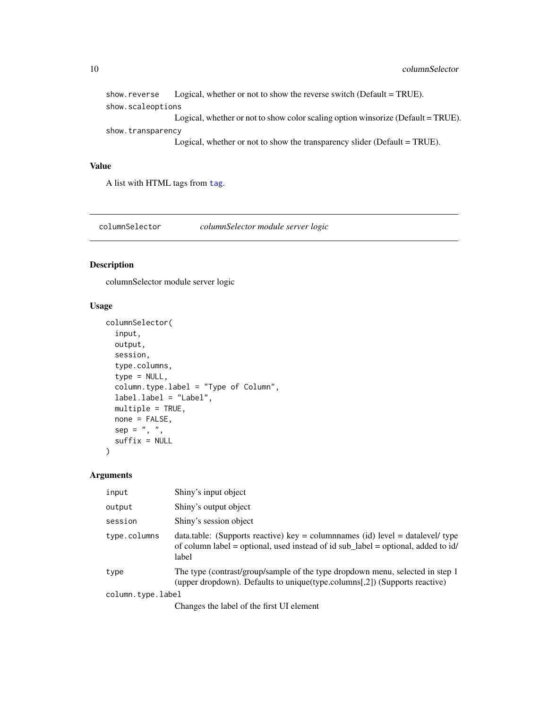<span id="page-9-0"></span>

|                   | show reverse Logical, whether or not to show the reverse switch (Default = TRUE).                                                                                                                                                                                                                           |
|-------------------|-------------------------------------------------------------------------------------------------------------------------------------------------------------------------------------------------------------------------------------------------------------------------------------------------------------|
| show.scaleoptions |                                                                                                                                                                                                                                                                                                             |
|                   | Logical, whether or not to show color scaling option winsorize (Default = TRUE).                                                                                                                                                                                                                            |
| show.transparency |                                                                                                                                                                                                                                                                                                             |
|                   | $\mathbf{r}$ , $\mathbf{r}$ , $\mathbf{r}$ , $\mathbf{r}$ , $\mathbf{r}$ , $\mathbf{r}$ , $\mathbf{r}$ , $\mathbf{r}$ , $\mathbf{r}$ , $\mathbf{r}$ , $\mathbf{r}$ , $\mathbf{r}$ , $\mathbf{r}$ , $\mathbf{r}$ , $\mathbf{r}$ , $\mathbf{r}$ , $\mathbf{r}$ , $\mathbf{r}$ , $\mathbf{r}$ , $\mathbf{r}$ , |

Logical, whether or not to show the transparency slider (Default = TRUE).

#### Value

A list with HTML tags from [tag](#page-0-0).

columnSelector *columnSelector module server logic*

#### Description

columnSelector module server logic

#### Usage

```
columnSelector(
  input,
 output,
  session,
  type.columns,
  type = NULL,
  column.type.label = "Type of Column",
  label.label = "Label",
 multiple = TRUE,
 none = FALSE,
 sep = ", ",
  suffix = NULL)
```

| input             | Shiny's input object                                                                                                                                                                          |
|-------------------|-----------------------------------------------------------------------------------------------------------------------------------------------------------------------------------------------|
| output            | Shiny's output object                                                                                                                                                                         |
| session           | Shiny's session object                                                                                                                                                                        |
| type.columns      | data.table: (Supports reactive) $key = \text{columnnames}$ (id) $level = \text{datalevel}$ type<br>of column label = optional, used instead of id sub_label = optional, added to id/<br>label |
| type              | The type (contrast/group/sample of the type dropdown menu, selected in step 1<br>(upper dropdown). Defaults to unique (type.columns [,2]) (Supports reactive)                                 |
| column.type.label |                                                                                                                                                                                               |
|                   | Changes the label of the first UI element                                                                                                                                                     |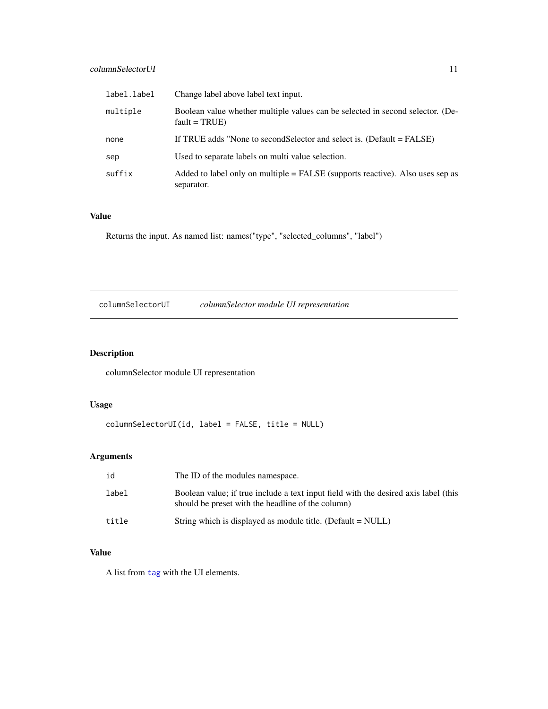#### <span id="page-10-0"></span>columnSelectorUI 11

| label.label | Change label above label text input.                                                              |
|-------------|---------------------------------------------------------------------------------------------------|
| multiple    | Boolean value whether multiple values can be selected in second selector. (De-<br>$fault = TRUE)$ |
| none        | If TRUE adds "None to secondSelector and select is. (Default = FALSE)                             |
| sep         | Used to separate labels on multi value selection.                                                 |
| suffix      | Added to label only on multiple = FALSE (supports reactive). Also uses sep as<br>separator.       |

#### Value

Returns the input. As named list: names("type", "selected\_columns", "label")

columnSelectorUI *columnSelector module UI representation*

#### Description

columnSelector module UI representation

#### Usage

```
columnSelectorUI(id, label = FALSE, title = NULL)
```
#### Arguments

| id    | The ID of the modules namespace.                                                                                                         |
|-------|------------------------------------------------------------------------------------------------------------------------------------------|
| label | Boolean value; if true include a text input field with the desired axis label (this<br>should be preset with the headline of the column) |
| title | String which is displayed as module title. (Default = NULL)                                                                              |

#### Value

A list from [tag](#page-0-0) with the UI elements.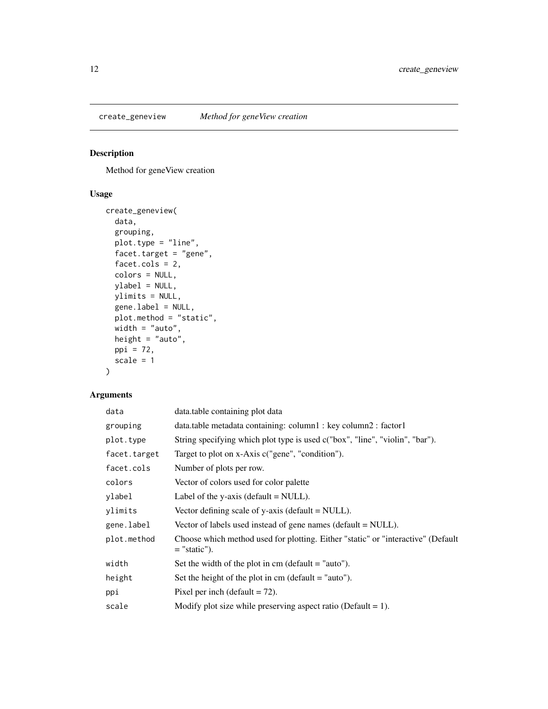<span id="page-11-0"></span>

Method for geneView creation

#### Usage

```
create_geneview(
  data,
 grouping,
 plot.type = "line",
 facet.target = "gene",
  facet.cols = 2,
 colors = NULL,
 ylabel = NULL,
 ylimits = NULL,
 gene.label = NULL,
 plot.method = "static",
 width = "auto",
 height = "auto",ppi = 72,
  scale = 1\mathcal{L}
```

| data         | data.table containing plot data                                                                    |
|--------------|----------------------------------------------------------------------------------------------------|
| grouping     | data.table metadata containing: column1 : key column2 : factor1                                    |
| plot.type    | String specifying which plot type is used c("box", "line", "violin", "bar").                       |
| facet.target | Target to plot on x-Axis c("gene", "condition").                                                   |
| facet.cols   | Number of plots per row.                                                                           |
| colors       | Vector of colors used for color palette                                                            |
| ylabel       | Label of the y-axis (default $=$ NULL).                                                            |
| ylimits      | Vector defining scale of $y$ -axis (default = NULL).                                               |
| gene.label   | Vector of labels used instead of gene names (default = NULL).                                      |
| plot.method  | Choose which method used for plotting. Either "static" or "interactive" (Default<br>$=$ "static"). |
| width        | Set the width of the plot in cm (default $=$ "auto").                                              |
| height       | Set the height of the plot in cm (default $=$ "auto").                                             |
| ppi          | Pixel per inch (default $= 72$ ).                                                                  |
| scale        | Modify plot size while preserving aspect ratio (Default = 1).                                      |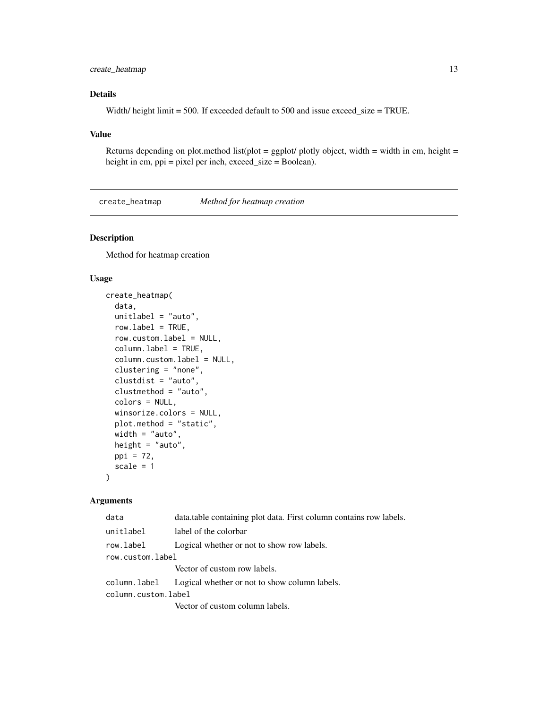#### <span id="page-12-0"></span>create\_heatmap 13

#### Details

Width/ height limit = 500. If exceeded default to 500 and issue exceed\_size = TRUE.

#### Value

Returns depending on plot.method list(plot = ggplot/ plotly object, width = width in cm, height = height in cm, ppi = pixel per inch, exceed\_size = Boolean).

create\_heatmap *Method for heatmap creation*

#### Description

Method for heatmap creation

#### Usage

```
create_heatmap(
 data,
 unitlabel = "auto",
 rowu = TRUE,row.custom.label = NULL,
  column.label = TRUE,
  column.custom.label = NULL,
 clustering = "none",
 clustdist = "auto",
 clustmethod = "auto",
  colors = NULL,
 winsorize.colors = NULL,
 plot.method = "static",
 width = "auto",
 height = "auto",
 ppi = 72,
  scale = 1
)
```

| data                | data.table containing plot data. First column contains row labels. |  |
|---------------------|--------------------------------------------------------------------|--|
| unitlabel           | label of the colorbar                                              |  |
| row.label           | Logical whether or not to show row labels.                         |  |
| row.custom.label    |                                                                    |  |
|                     | Vector of custom row labels.                                       |  |
|                     | column. label Logical whether or not to show column labels.        |  |
| column.custom.label |                                                                    |  |
|                     | Vector of custom column labels.                                    |  |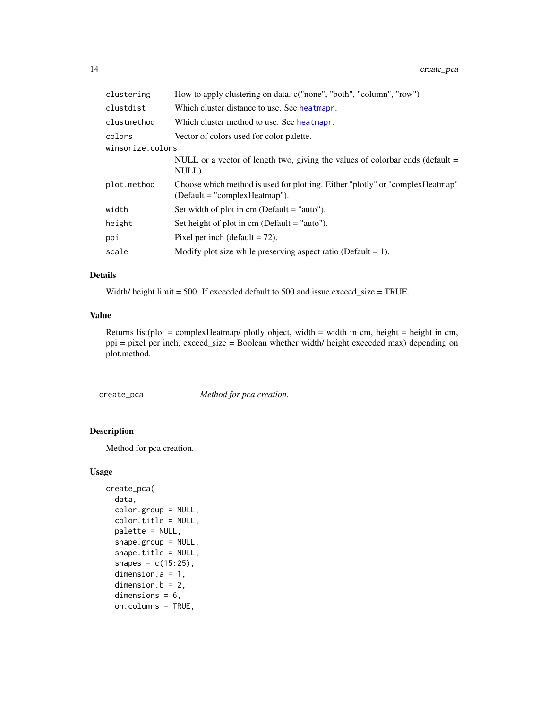<span id="page-13-0"></span>

| clustering       | How to apply clustering on data. c("none", "both", "column", "row")                                               |
|------------------|-------------------------------------------------------------------------------------------------------------------|
| clustdist        | Which cluster distance to use. See heatmapr.                                                                      |
| clustmethod      | Which cluster method to use. See heatmapr.                                                                        |
| colors           | Vector of colors used for color palette.                                                                          |
| winsorize.colors |                                                                                                                   |
|                  | NULL or a vector of length two, giving the values of colorbar ends (default $=$<br>NULL).                         |
| plot.method      | Choose which method is used for plotting. Either "plotly" or "complex Heatmap"<br>$(Default = "complexHeatmap").$ |
| width            | Set width of plot in $cm$ (Default = "auto").                                                                     |
| height           | Set height of plot in cm (Default $=$ "auto").                                                                    |
| ppi              | Pixel per inch (default $= 72$ ).                                                                                 |
| scale            | Modify plot size while preserving aspect ratio (Default = 1).                                                     |

#### Details

Width/ height limit = 500. If exceeded default to 500 and issue exceed\_size = TRUE.

#### Value

Returns list(plot = complexHeatmap/ plotly object, width = width in cm, height = height in cm, ppi = pixel per inch, exceed\_size = Boolean whether width/ height exceeded max) depending on plot.method.

create\_pca *Method for pca creation.*

#### Description

Method for pca creation.

#### Usage

```
create_pca(
  data,
  color.group = NULL,
  color.title = NULL,
 palette = NULL,
  shape.group = NULL,
  shape.title = NULL,
  shapes = c(15:25),
  dimension.a = 1,
  dimension.b = 2,
  dimensions = 6,
  on.columns = TRUE,
```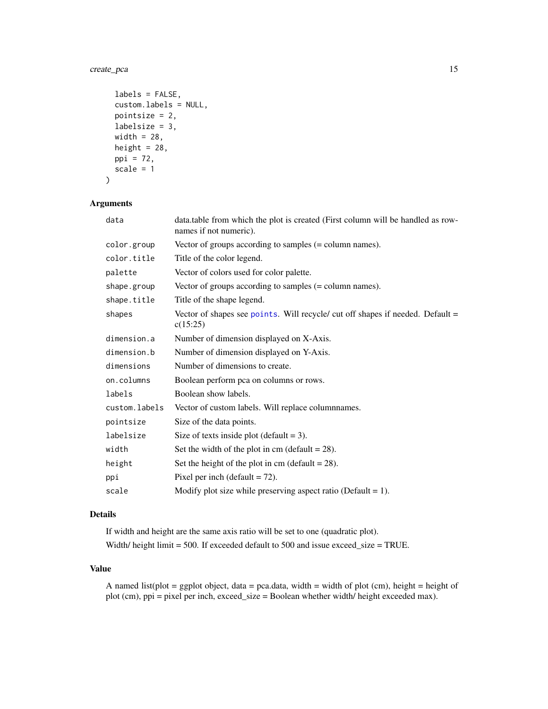#### <span id="page-14-0"></span>create\_pca 15

```
labels = FALSE,
 custom.labels = NULL,
 pointsize = 2,
 labelsize = 3,
 width = 28,
 height = 28,
 ppi = 72,
 scale = 1
)
```
#### Arguments

| data          | data.table from which the plot is created (First column will be handled as row-<br>names if not numeric). |
|---------------|-----------------------------------------------------------------------------------------------------------|
| color.group   | Vector of groups according to samples $(=$ column names).                                                 |
| color.title   | Title of the color legend.                                                                                |
| palette       | Vector of colors used for color palette.                                                                  |
| shape.group   | Vector of groups according to samples $(=$ column names).                                                 |
| shape.title   | Title of the shape legend.                                                                                |
| shapes        | Vector of shapes see points. Will recycle/ cut off shapes if needed. Default =<br>c(15:25)                |
| dimension.a   | Number of dimension displayed on X-Axis.                                                                  |
| dimension.b   | Number of dimension displayed on Y-Axis.                                                                  |
| dimensions    | Number of dimensions to create.                                                                           |
| on.columns    | Boolean perform pca on columns or rows.                                                                   |
| labels        | Boolean show labels.                                                                                      |
| custom.labels | Vector of custom labels. Will replace columnnames.                                                        |
| pointsize     | Size of the data points.                                                                                  |
| labelsize     | Size of texts inside plot (default $= 3$ ).                                                               |
| width         | Set the width of the plot in cm (default $= 28$ ).                                                        |
| height        | Set the height of the plot in cm (default $= 28$ ).                                                       |
| ppi           | Pixel per inch (default $= 72$ ).                                                                         |
| scale         | Modify plot size while preserving aspect ratio (Default = 1).                                             |

#### Details

If width and height are the same axis ratio will be set to one (quadratic plot). Width/ height limit = 500. If exceeded default to 500 and issue exceed\_size = TRUE.

#### Value

A named list(plot = ggplot object, data = pca.data, width = width of plot (cm), height = height of plot (cm), ppi = pixel per inch, exceed\_size = Boolean whether width/ height exceeded max).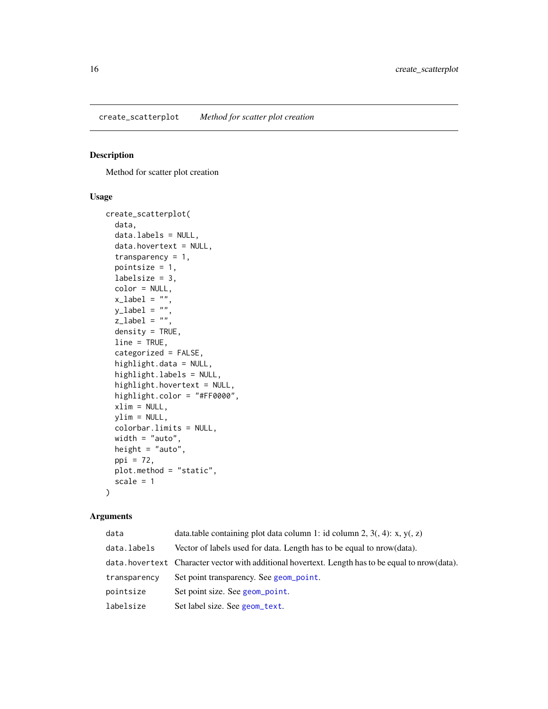<span id="page-15-0"></span>Method for scatter plot creation

#### Usage

```
create_scatterplot(
  data,
  data.labels = NULL,
  data.hovertext = NULL,
  transparency = 1,
 pointsize = 1,
  labelsize = 3,
  color = NULL,
  x<sup>-</sup>label = ",
 y<sup>-</sup>label = ",
  z<sup>-</sup>label = ",
  density = TRUE,line = TRUE,
  categorized = FALSE,
  highlight.data = NULL,
  highlight.labels = NULL,
  highlight.hovertext = NULL,
  highlight.color = "#FF0000",
  xlim = NULL,ylim = NULL,
 colorbar.limits = NULL,
 width = "auto",
  height = "auto",
  ppi = 72,
 plot.method = "static",
  scale = 1
)
```

| data         | data.table containing plot data column 1: id column 2, $3($ , 4): x, y(, z)                       |
|--------------|---------------------------------------------------------------------------------------------------|
| data.labels  | Vector of labels used for data. Length has to be equal to nrow (data).                            |
|              | data, hovertext Character vector with additional hovertext. Length has to be equal to prow(data). |
| transparency | Set point transparency. See geom_point.                                                           |
| pointsize    | Set point size. See geom_point.                                                                   |
| labelsize    | Set label size. See geom_text.                                                                    |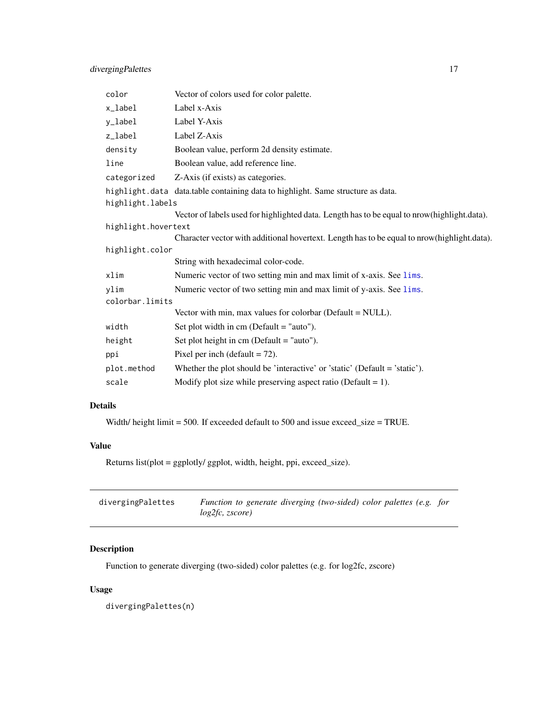<span id="page-16-0"></span>

| color               | Vector of colors used for color palette.                                                     |  |
|---------------------|----------------------------------------------------------------------------------------------|--|
| x_label             | Label x-Axis                                                                                 |  |
| y_label             | Label Y-Axis                                                                                 |  |
| z_label             | Label Z-Axis                                                                                 |  |
| density             | Boolean value, perform 2d density estimate.                                                  |  |
| line                | Boolean value, add reference line.                                                           |  |
| categorized         | Z-Axis (if exists) as categories.                                                            |  |
|                     | highlight.data data.table containing data to highlight. Same structure as data.              |  |
| highlight.labels    |                                                                                              |  |
|                     | Vector of labels used for highlighted data. Length has to be equal to nrow (highlight.data). |  |
| highlight.hovertext |                                                                                              |  |
|                     | Character vector with additional hovertext. Length has to be equal to nrow(highlight.data).  |  |
| highlight.color     |                                                                                              |  |
|                     | String with hexadecimal color-code.                                                          |  |
| xlim                | Numeric vector of two setting min and max limit of x-axis. See lims.                         |  |
| ylim                | Numeric vector of two setting min and max limit of y-axis. See lims.                         |  |
| colorbar.limits     |                                                                                              |  |
|                     | Vector with min, max values for colorbar (Default $=$ NULL).                                 |  |
| width               | Set plot width in $cm$ (Default = "auto").                                                   |  |
| height              | Set plot height in cm (Default $=$ "auto").                                                  |  |
| ppi                 | Pixel per inch (default $= 72$ ).                                                            |  |
| plot.method         | Whether the plot should be 'interactive' or 'static' (Default = 'static').                   |  |
| scale               | Modify plot size while preserving aspect ratio (Default = 1).                                |  |

#### Details

Width/ height limit = 500. If exceeded default to 500 and issue exceed\_size = TRUE.

#### Value

Returns list(plot = ggplotly/ ggplot, width, height, ppi, exceed\_size).

| divergingPalettes | Function to generate diverging (two-sided) color palettes (e.g. for |  |
|-------------------|---------------------------------------------------------------------|--|
|                   | log2fc, zscore)                                                     |  |

#### Description

Function to generate diverging (two-sided) color palettes (e.g. for log2fc, zscore)

#### Usage

divergingPalettes(n)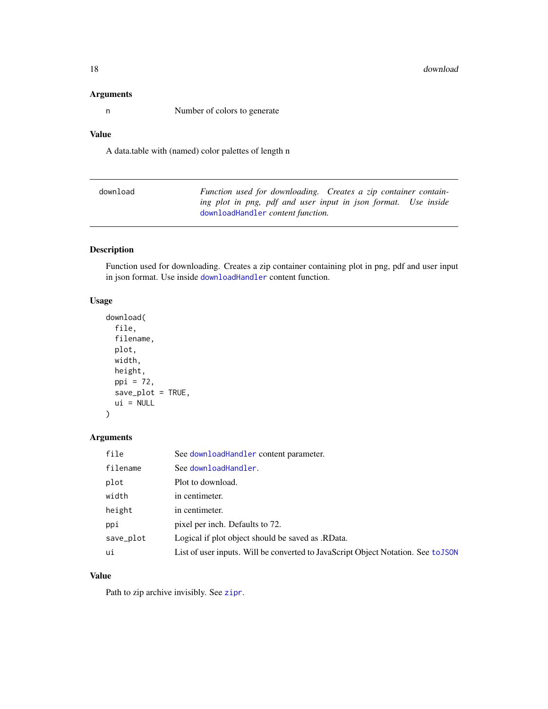#### <span id="page-17-0"></span>Arguments

n Number of colors to generate

#### Value

A data.table with (named) color palettes of length n

| download | Function used for downloading. Creates a zip container contain- |
|----------|-----------------------------------------------------------------|
|          | ing plot in png, pdf and user input in json format. Use inside  |
|          | downloadHandler content function.                               |

#### Description

Function used for downloading. Creates a zip container containing plot in png, pdf and user input in json format. Use inside [downloadHandler](#page-0-0) content function.

#### Usage

```
download(
 file,
  filename,
 plot,
 width,
 height,
 ppi = 72,
  save_plot = TRUE,
 ui = NULL)
```
#### Arguments

| file      | See download Handler content parameter.                                           |
|-----------|-----------------------------------------------------------------------------------|
| filename  | See downloadHandler.                                                              |
| plot      | Plot to download.                                                                 |
| width     | in centimeter.                                                                    |
| height    | in centimeter.                                                                    |
| ppi       | pixel per inch. Defaults to 72.                                                   |
| save_plot | Logical if plot object should be saved as .RData.                                 |
| ui        | List of user inputs. Will be converted to JavaScript Object Notation. See to JSON |

#### Value

Path to zip archive invisibly. See [zipr](#page-0-0).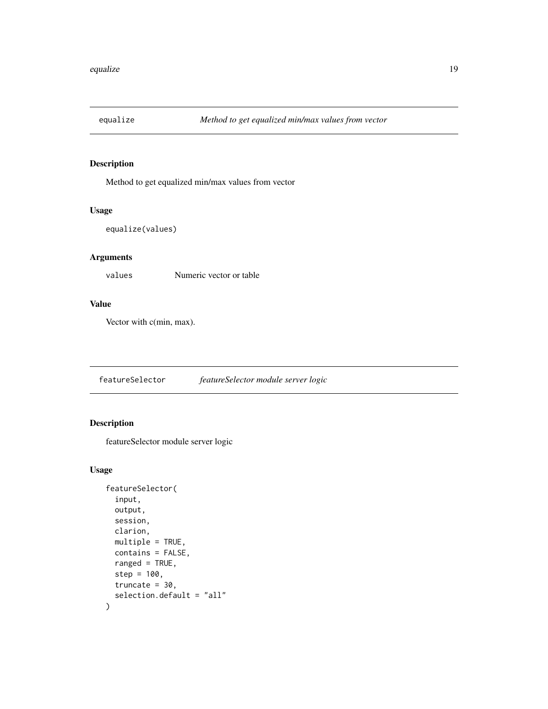<span id="page-18-0"></span>

Method to get equalized min/max values from vector

#### Usage

```
equalize(values)
```
#### Arguments

values Numeric vector or table

#### Value

Vector with c(min, max).

featureSelector *featureSelector module server logic*

#### Description

featureSelector module server logic

#### Usage

```
featureSelector(
  input,
  output,
  session,
  clarion,
  multiple = TRUE,
  contains = FALSE,
  ranged = TRUE,
  step = 100,
  truncate = 30,
  selection.default = "all"
\mathcal{E}
```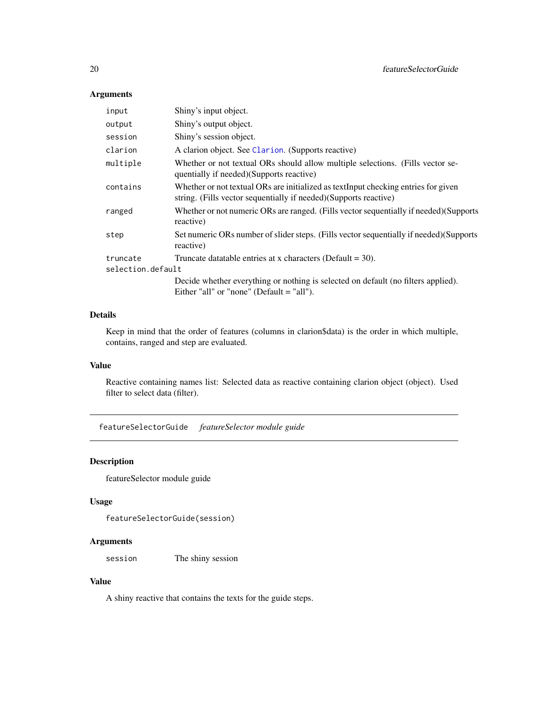#### Arguments

| input             | Shiny's input object.                                                                                                                                   |
|-------------------|---------------------------------------------------------------------------------------------------------------------------------------------------------|
| output            | Shiny's output object.                                                                                                                                  |
| session           | Shiny's session object.                                                                                                                                 |
| clarion           | A clarion object. See Clarion. (Supports reactive)                                                                                                      |
| multiple          | Whether or not textual ORs should allow multiple selections. (Fills vector se-<br>quentially if needed)(Supports reactive)                              |
| contains          | Whether or not textual ORs are initialized as textInput checking entries for given<br>string. (Fills vector sequentially if needed) (Supports reactive) |
| ranged            | Whether or not numeric ORs are ranged. (Fills vector sequentially if needed) (Supports<br>reactive)                                                     |
| step              | Set numeric ORs number of slider steps. (Fills vector sequentially if needed) (Supports<br>reactive)                                                    |
| truncate          | Truncate data table entries at x characters (Default = $30$ ).                                                                                          |
| selection.default |                                                                                                                                                         |
|                   | Decide whether everything or nothing is selected on default (no filters applied).<br>Either "all" or "none" (Default $=$ "all").                        |

#### Details

Keep in mind that the order of features (columns in clarion\$data) is the order in which multiple, contains, ranged and step are evaluated.

#### Value

Reactive containing names list: Selected data as reactive containing clarion object (object). Used filter to select data (filter).

featureSelectorGuide *featureSelector module guide*

#### Description

featureSelector module guide

#### Usage

```
featureSelectorGuide(session)
```
#### Arguments

session The shiny session

#### Value

A shiny reactive that contains the texts for the guide steps.

<span id="page-19-0"></span>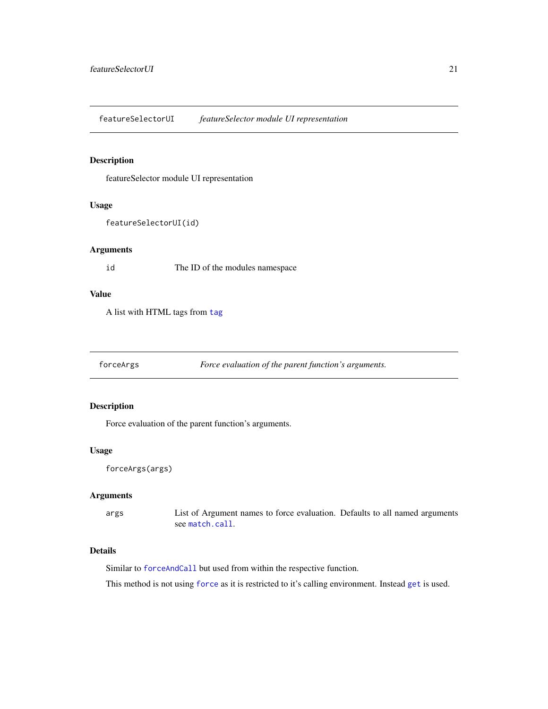<span id="page-20-0"></span>featureSelectorUI *featureSelector module UI representation*

#### Description

featureSelector module UI representation

#### Usage

featureSelectorUI(id)

#### Arguments

id The ID of the modules namespace

#### Value

A list with HTML tags from [tag](#page-0-0)

forceArgs *Force evaluation of the parent function's arguments.*

#### Description

Force evaluation of the parent function's arguments.

#### Usage

```
forceArgs(args)
```
#### Arguments

args List of Argument names to force evaluation. Defaults to all named arguments see [match.call](#page-0-0).

#### Details

Similar to [forceAndCall](#page-0-0) but used from within the respective function.

This method is not using [force](#page-0-0) as it is restricted to it's calling environment. Instead [get](#page-0-0) is used.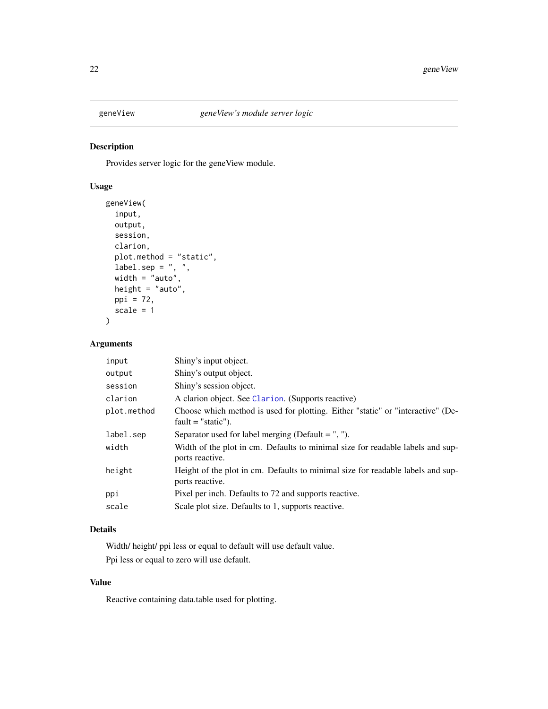<span id="page-21-0"></span>

Provides server logic for the geneView module.

#### Usage

```
geneView(
  input,
  output,
  session,
  clarion,
  plot.method = "static",
  label-sep = " , " ,width = "auto",
  height = "auto",
  ppi = 72,
  scale = 1
\mathcal{L}
```
#### Arguments

| input       | Shiny's input object.                                                                                   |
|-------------|---------------------------------------------------------------------------------------------------------|
| output      | Shiny's output object.                                                                                  |
| session     | Shiny's session object.                                                                                 |
| clarion     | A clarion object. See Clarion. (Supports reactive)                                                      |
| plot.method | Choose which method is used for plotting. Either "static" or "interactive" (De-<br>$fault = "static").$ |
| label.sep   | Separator used for label merging (Default $=$ ", ").                                                    |
| width       | Width of the plot in cm. Defaults to minimal size for readable labels and sup-<br>ports reactive.       |
| height      | Height of the plot in cm. Defaults to minimal size for readable labels and sup-<br>ports reactive.      |
| ppi         | Pixel per inch. Defaults to 72 and supports reactive.                                                   |
| scale       | Scale plot size. Defaults to 1, supports reactive.                                                      |

#### Details

Width/ height/ ppi less or equal to default will use default value. Ppi less or equal to zero will use default.

#### Value

Reactive containing data.table used for plotting.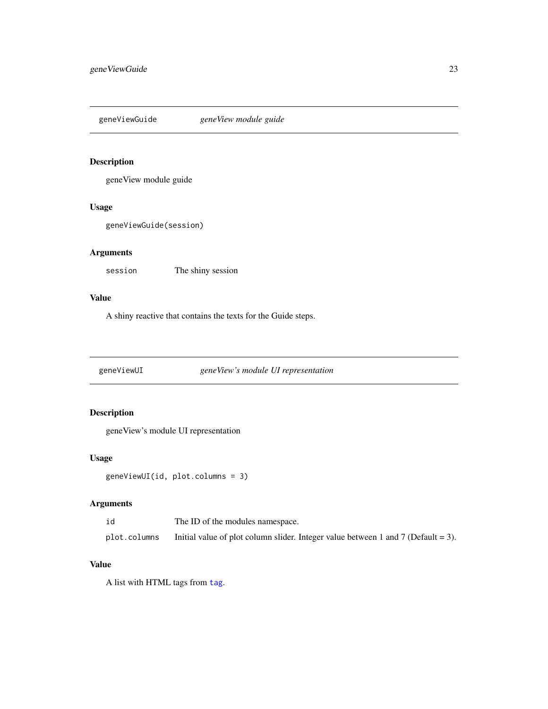<span id="page-22-0"></span>geneViewGuide *geneView module guide*

#### Description

geneView module guide

#### Usage

geneViewGuide(session)

#### Arguments

session The shiny session

#### Value

A shiny reactive that contains the texts for the Guide steps.

geneViewUI *geneView's module UI representation*

#### Description

geneView's module UI representation

#### Usage

geneViewUI(id, plot.columns = 3)

#### Arguments

| id           | The ID of the modules namespace.                                                  |
|--------------|-----------------------------------------------------------------------------------|
| plot.columns | Initial value of plot column slider. Integer value between 1 and 7 (Default = 3). |

#### Value

A list with HTML tags from [tag](#page-0-0).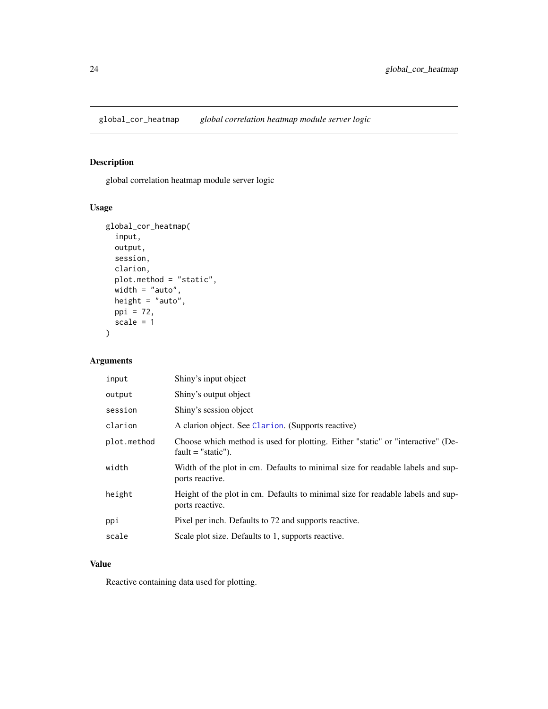<span id="page-23-0"></span>global\_cor\_heatmap *global correlation heatmap module server logic*

#### Description

global correlation heatmap module server logic

#### Usage

```
global_cor_heatmap(
 input,
 output,
 session,
 clarion,
 plot.method = "static",
 width = "auto",height = "auto",
 ppi = 72,
 scale = 1)
```
#### Arguments

| input       | Shiny's input object                                                                                    |
|-------------|---------------------------------------------------------------------------------------------------------|
| output      | Shiny's output object                                                                                   |
| session     | Shiny's session object                                                                                  |
| clarion     | A clarion object. See Clarion. (Supports reactive)                                                      |
| plot.method | Choose which method is used for plotting. Either "static" or "interactive" (De-<br>$fault = "static").$ |
| width       | Width of the plot in cm. Defaults to minimal size for readable labels and sup-<br>ports reactive.       |
| height      | Height of the plot in cm. Defaults to minimal size for readable labels and sup-<br>ports reactive.      |
| ppi         | Pixel per inch. Defaults to 72 and supports reactive.                                                   |
| scale       | Scale plot size. Defaults to 1, supports reactive.                                                      |

#### Value

Reactive containing data used for plotting.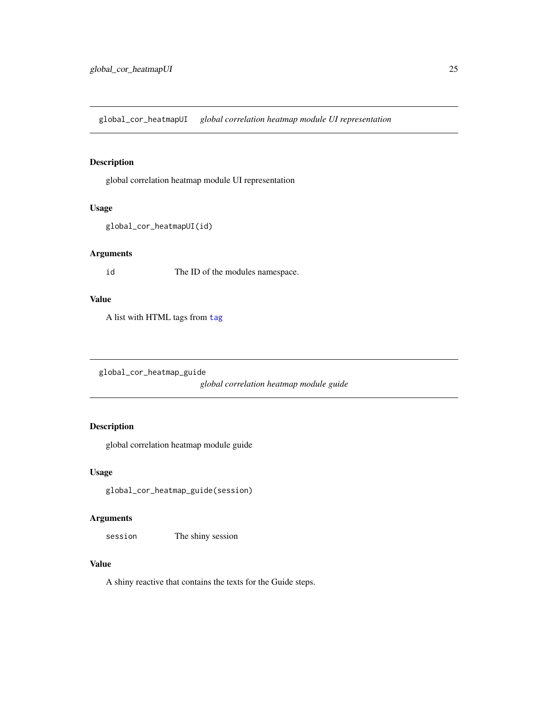<span id="page-24-0"></span>global\_cor\_heatmapUI *global correlation heatmap module UI representation*

#### Description

global correlation heatmap module UI representation

#### Usage

```
global_cor_heatmapUI(id)
```
#### Arguments

id The ID of the modules namespace.

#### Value

A list with HTML tags from [tag](#page-0-0)

global\_cor\_heatmap\_guide

*global correlation heatmap module guide*

#### Description

global correlation heatmap module guide

#### Usage

global\_cor\_heatmap\_guide(session)

#### Arguments

session The shiny session

#### Value

A shiny reactive that contains the texts for the Guide steps.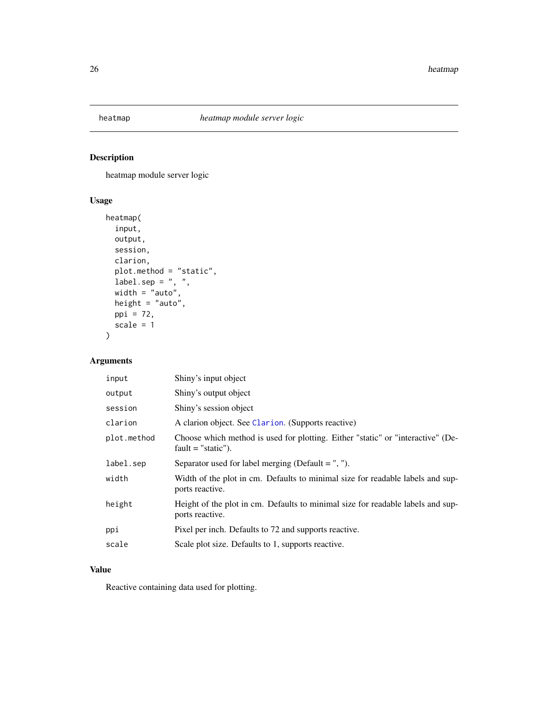<span id="page-25-0"></span>

heatmap module server logic

#### Usage

```
heatmap(
  input,
  output,
  session,
  clarion,
  plot.method = "static",
  \Delta label.sep = ", ",
  width = "auto",
  height = "auto",
  ppi = 72,
  scale = 1
\mathcal{L}
```
#### Arguments

| input       | Shiny's input object                                                                                    |
|-------------|---------------------------------------------------------------------------------------------------------|
| output      | Shiny's output object                                                                                   |
| session     | Shiny's session object                                                                                  |
| clarion     | A clarion object. See Clarion. (Supports reactive)                                                      |
| plot.method | Choose which method is used for plotting. Either "static" or "interactive" (De-<br>$fault = "static").$ |
| label.sep   | Separator used for label merging (Default $=$ ", ").                                                    |
| width       | Width of the plot in cm. Defaults to minimal size for readable labels and sup-<br>ports reactive.       |
| height      | Height of the plot in cm. Defaults to minimal size for readable labels and sup-<br>ports reactive.      |
| ppi         | Pixel per inch. Defaults to 72 and supports reactive.                                                   |
| scale       | Scale plot size. Defaults to 1, supports reactive.                                                      |

#### Value

Reactive containing data used for plotting.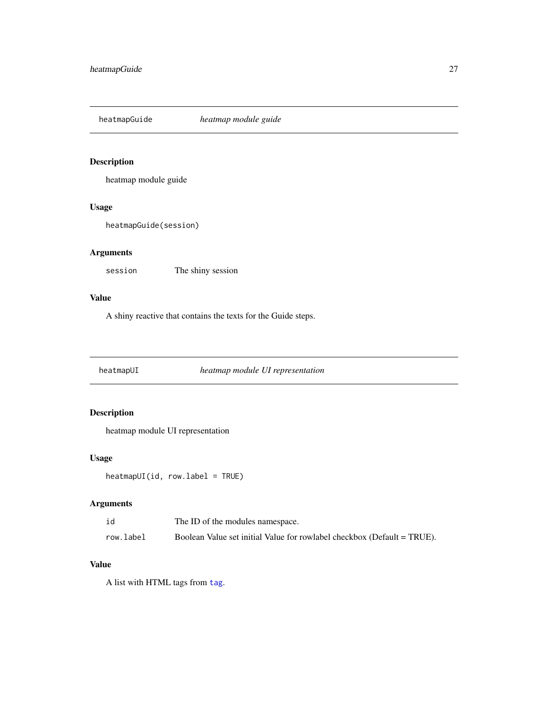<span id="page-26-0"></span>heatmapGuide *heatmap module guide*

#### Description

heatmap module guide

#### Usage

heatmapGuide(session)

#### Arguments

session The shiny session

#### Value

A shiny reactive that contains the texts for the Guide steps.

heatmapUI *heatmap module UI representation*

#### Description

heatmap module UI representation

#### Usage

heatmapUI(id, row.label = TRUE)

#### Arguments

| id        | The ID of the modules namespace.                                        |
|-----------|-------------------------------------------------------------------------|
| row.label | Boolean Value set initial Value for rowlabel checkbox (Default = TRUE). |

#### Value

A list with HTML tags from [tag](#page-0-0).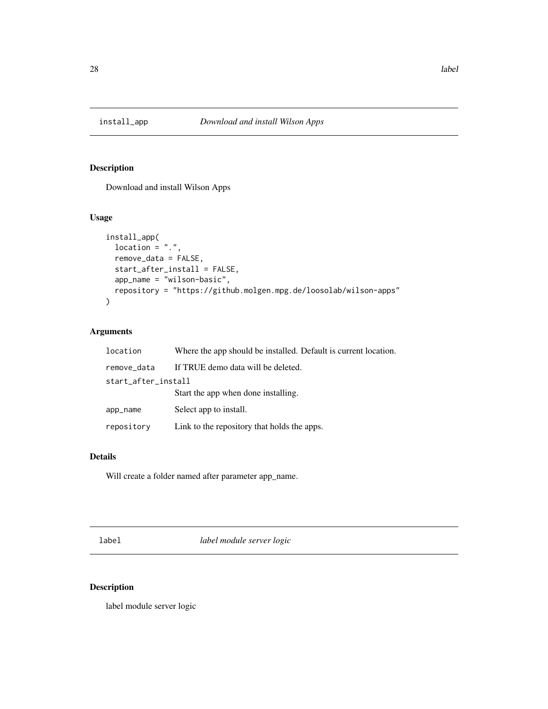<span id="page-27-0"></span>

Download and install Wilson Apps

#### Usage

```
install_app(
 location = ".".remove_data = FALSE,
 start_after_install = FALSE,
 app_name = "wilson-basic",
 repository = "https://github.molgen.mpg.de/loosolab/wilson-apps"
)
```
#### Arguments

| location            | Where the app should be installed. Default is current location. |  |
|---------------------|-----------------------------------------------------------------|--|
| remove_data         | If TRUE demo data will be deleted.                              |  |
| start_after_install |                                                                 |  |
|                     | Start the app when done installing.                             |  |
| app_name            | Select app to install.                                          |  |
| repository          | Link to the repository that holds the apps.                     |  |

#### Details

Will create a folder named after parameter app\_name.

label *label module server logic*

#### Description

label module server logic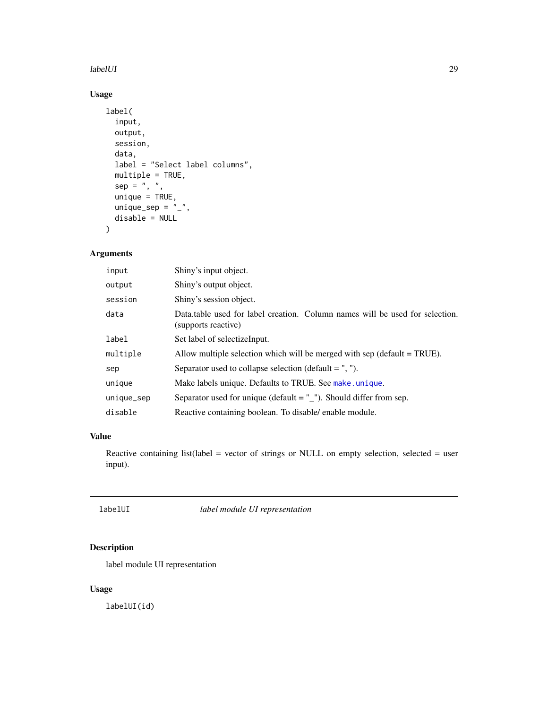#### <span id="page-28-0"></span>labelUI 29

#### Usage

```
label(
  input,
 output,
 session,
 data,
 label = "Select label columns",
 multiple = TRUE,
  sep = " , " ,unique = TRUE,unique_sep = "_",
  disable = NULL
)
```
#### Arguments

| input      | Shiny's input object.                                                                               |
|------------|-----------------------------------------------------------------------------------------------------|
| output     | Shiny's output object.                                                                              |
| session    | Shiny's session object.                                                                             |
| data       | Data table used for label creation. Column names will be used for selection.<br>(supports reactive) |
| label      | Set label of selectize Input.                                                                       |
| multiple   | Allow multiple selection which will be merged with $sep$ (default = TRUE).                          |
| sep        | Separator used to collapse selection (default $=$ ", ").                                            |
| unique     | Make labels unique. Defaults to TRUE. See make unique.                                              |
| unique_sep | Separator used for unique (default $=$ $"$ _"). Should differ from sep.                             |
| disable    | Reactive containing boolean. To disable/enable module.                                              |

#### Value

Reactive containing list(label = vector of strings or NULL on empty selection, selected = user input).

labelUI *label module UI representation*

#### Description

label module UI representation

#### Usage

labelUI(id)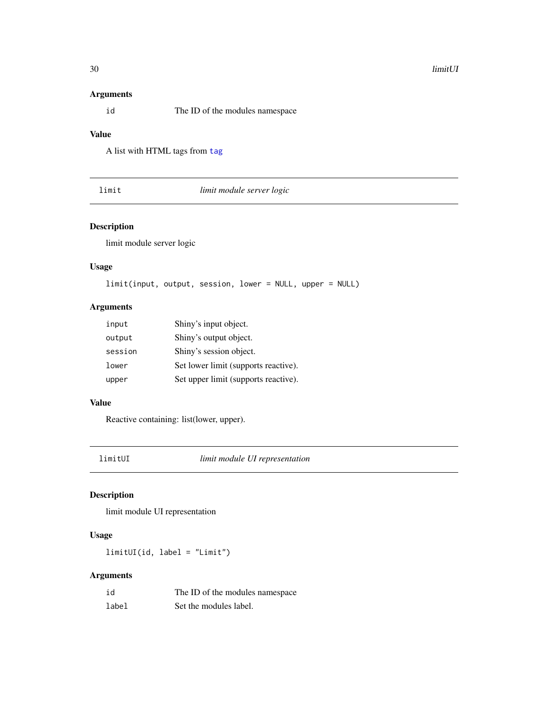#### <span id="page-29-0"></span>Arguments

id The ID of the modules namespace

#### Value

A list with HTML tags from [tag](#page-0-0)

limit *limit module server logic*

#### Description

limit module server logic

#### Usage

```
limit(input, output, session, lower = NULL, upper = NULL)
```
#### Arguments

| input   | Shiny's input object.                |
|---------|--------------------------------------|
| output  | Shiny's output object.               |
| session | Shiny's session object.              |
| lower   | Set lower limit (supports reactive). |
| upper   | Set upper limit (supports reactive). |

#### Value

Reactive containing: list(lower, upper).

limitUI *limit module UI representation*

#### Description

limit module UI representation

#### Usage

limitUI(id, label = "Limit")

| id    | The ID of the modules namespace |
|-------|---------------------------------|
| label | Set the modules label.          |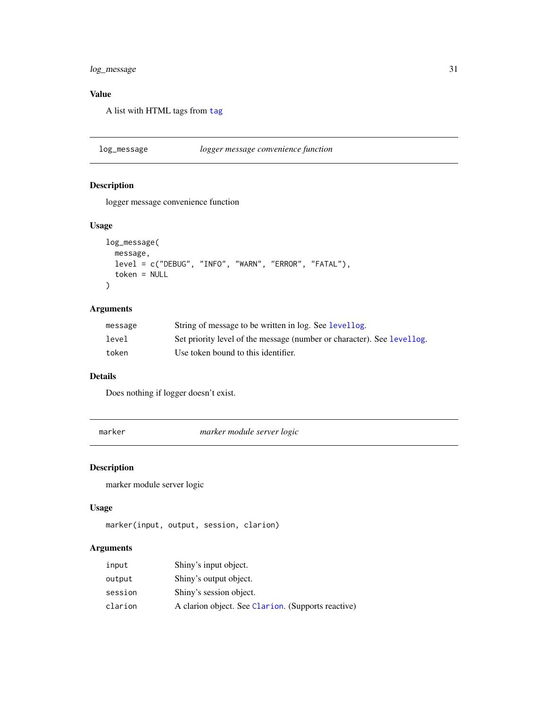#### <span id="page-30-0"></span>log\_message 31

#### Value

A list with HTML tags from [tag](#page-0-0)

log\_message *logger message convenience function*

#### Description

logger message convenience function

#### Usage

```
log_message(
  message,
  level = c("DEBUG", "INFO", "WARN", "ERROR", "FATAL"),
  token = NULL
\mathcal{L}
```
#### Arguments

| message | String of message to be written in log. See levellog.                  |
|---------|------------------------------------------------------------------------|
| level   | Set priority level of the message (number or character). See levellog. |
| token   | Use token bound to this identifier.                                    |

#### Details

Does nothing if logger doesn't exist.

<span id="page-30-1"></span>marker *marker module server logic*

#### Description

marker module server logic

#### Usage

```
marker(input, output, session, clarion)
```

| input   | Shiny's input object.                              |
|---------|----------------------------------------------------|
| output  | Shiny's output object.                             |
| session | Shiny's session object.                            |
| clarion | A clarion object. See Clarion. (Supports reactive) |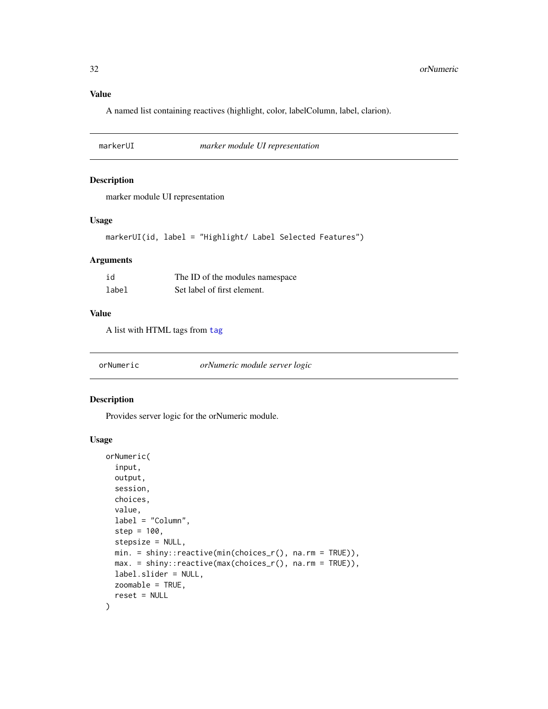#### <span id="page-31-0"></span>Value

A named list containing reactives (highlight, color, labelColumn, label, clarion).

markerUI *marker module UI representation*

#### Description

marker module UI representation

#### Usage

```
markerUI(id, label = "Highlight/ Label Selected Features")
```
#### Arguments

| id    | The ID of the modules namespace |
|-------|---------------------------------|
| label | Set label of first element.     |

#### Value

A list with HTML tags from [tag](#page-0-0)

| orNumeric | orNumeric module server logic |
|-----------|-------------------------------|
|-----------|-------------------------------|

#### Description

Provides server logic for the orNumeric module.

#### Usage

```
orNumeric(
  input,
  output,
  session,
 choices,
  value,
  label = "Column",
  step = 100,
  stepsize = NULL,
 min. = shiny::reactive(min(choices_r(), na.rm = TRUE)),
 max. = shiny::reactive(max(choices_r(), na.rm = TRUE)),
  label.slider = NULL,
 zoomable = TRUE,
  reset = NULL
)
```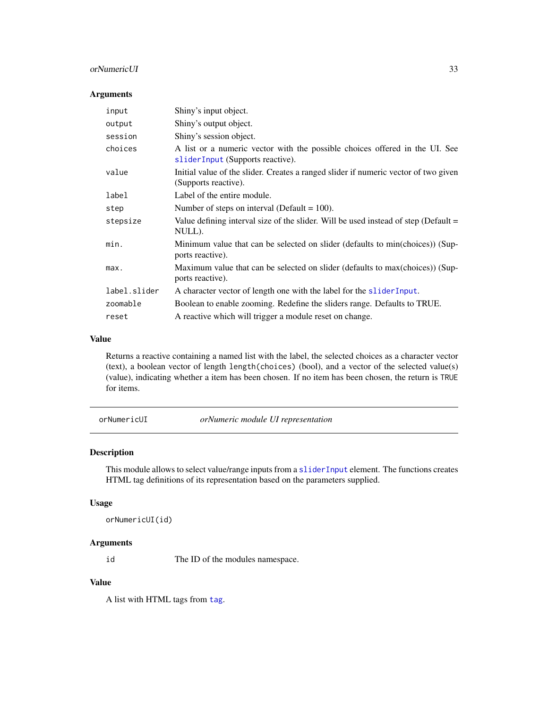#### <span id="page-32-0"></span>orNumericUI 33

#### Arguments

| input        | Shiny's input object.                                                                                           |
|--------------|-----------------------------------------------------------------------------------------------------------------|
| output       | Shiny's output object.                                                                                          |
| session      | Shiny's session object.                                                                                         |
| choices      | A list or a numeric vector with the possible choices offered in the UI. See<br>sliderInput (Supports reactive). |
| value        | Initial value of the slider. Creates a ranged slider if numeric vector of two given<br>(Supports reactive).     |
| label        | Label of the entire module.                                                                                     |
| step         | Number of steps on interval (Default = $100$ ).                                                                 |
| stepsize     | Value defining interval size of the slider. Will be used instead of step (Default $=$<br>NULL).                 |
| min.         | Minimum value that can be selected on slider (defaults to min(choices)) (Sup-<br>ports reactive).               |
| max.         | Maximum value that can be selected on slider (defaults to max(choices)) (Sup-<br>ports reactive).               |
| label.slider | A character vector of length one with the label for the slider Input.                                           |
| zoomable     | Boolean to enable zooming. Redefine the sliders range. Defaults to TRUE.                                        |
| reset        | A reactive which will trigger a module reset on change.                                                         |

#### Value

Returns a reactive containing a named list with the label, the selected choices as a character vector (text), a boolean vector of length length(choices) (bool), and a vector of the selected value(s) (value), indicating whether a item has been chosen. If no item has been chosen, the return is TRUE for items.

orNumericUI *orNumeric module UI representation*

#### Description

This module allows to select value/range inputs from a [sliderInput](#page-0-0) element. The functions creates HTML tag definitions of its representation based on the parameters supplied.

#### Usage

```
orNumericUI(id)
```
#### Arguments

id The ID of the modules namespace.

#### Value

A list with HTML tags from [tag](#page-0-0).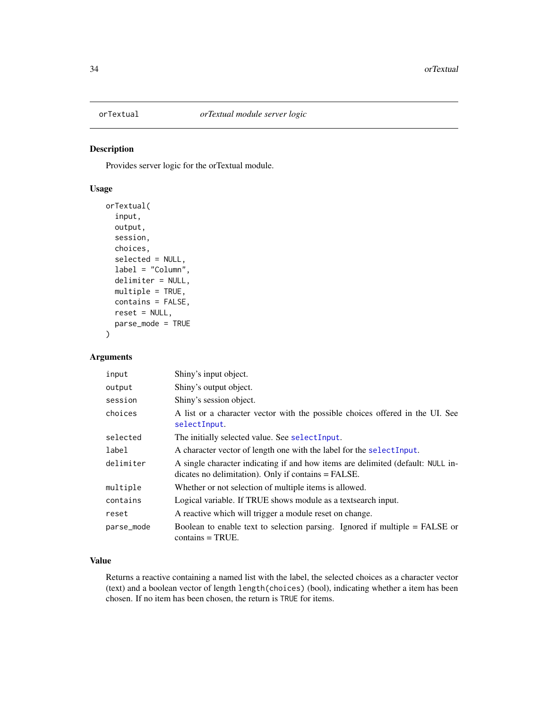<span id="page-33-0"></span>

Provides server logic for the orTextual module.

#### Usage

```
orTextual(
  input,
  output,
  session,
  choices,
  selected = NULL,
  label = "Column",
  delimiter = NULL,
 multiple = TRUE,
  contains = FALSE,
  reset = NULL,
  parse_mode = TRUE
\mathcal{L}
```
#### Arguments

| input      | Shiny's input object.                                                                                                                  |
|------------|----------------------------------------------------------------------------------------------------------------------------------------|
| output     | Shiny's output object.                                                                                                                 |
| session    | Shiny's session object.                                                                                                                |
| choices    | A list or a character vector with the possible choices offered in the UI. See<br>selectInput.                                          |
| selected   | The initially selected value. See selectInput.                                                                                         |
| label      | A character vector of length one with the label for the selectInput.                                                                   |
| delimiter  | A single character indicating if and how items are delimited (default: NULL in-<br>dicates no delimitation). Only if contains = FALSE. |
| multiple   | Whether or not selection of multiple items is allowed.                                                                                 |
| contains   | Logical variable. If TRUE shows module as a textsearch input.                                                                          |
| reset      | A reactive which will trigger a module reset on change.                                                                                |
| parse_mode | Boolean to enable text to selection parsing. Ignored if multiple $=$ FALSE or<br>$contains = TRUE.$                                    |

#### Value

Returns a reactive containing a named list with the label, the selected choices as a character vector (text) and a boolean vector of length length(choices) (bool), indicating whether a item has been chosen. If no item has been chosen, the return is TRUE for items.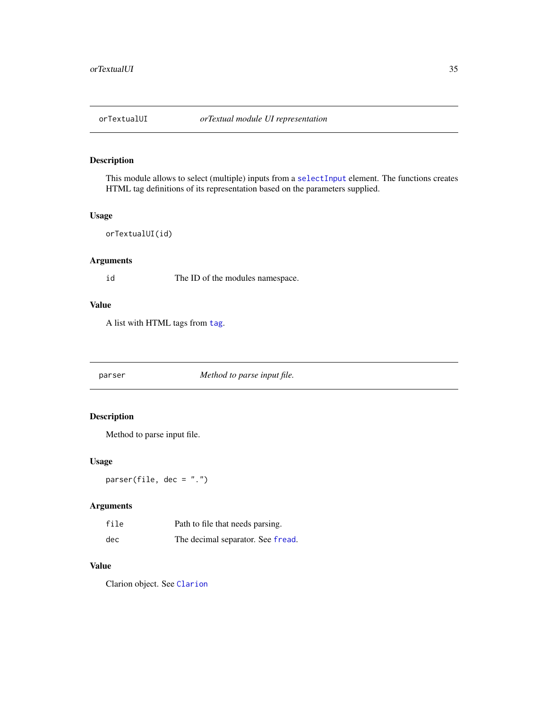<span id="page-34-0"></span>

This module allows to select (multiple) inputs from a [selectInput](#page-0-0) element. The functions creates HTML tag definitions of its representation based on the parameters supplied.

#### Usage

```
orTextualUI(id)
```
#### Arguments

id The ID of the modules namespace.

#### Value

A list with HTML tags from [tag](#page-0-0).

parser *Method to parse input file.*

#### Description

Method to parse input file.

#### Usage

 $parser(file, dec = "."')$ 

#### Arguments

| file | Path to file that needs parsing.  |
|------|-----------------------------------|
| dec  | The decimal separator. See fread. |

#### Value

Clarion object. See [Clarion](#page-4-1)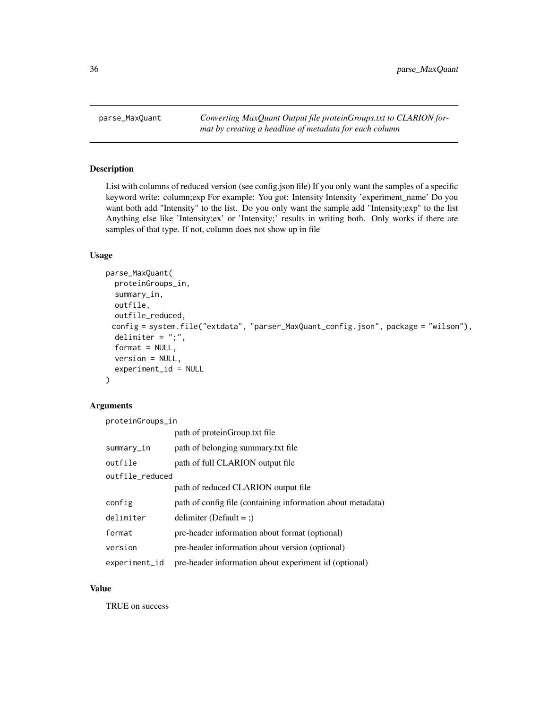<span id="page-35-0"></span>parse\_MaxQuant *Converting MaxQuant Output file proteinGroups.txt to CLARION format by creating a headline of metadata for each column*

#### Description

List with columns of reduced version (see config.json file) If you only want the samples of a specific keyword write: column;exp For example: You got: Intensity Intensity 'experiment\_name' Do you want both add "Intensity" to the list. Do you only want the sample add "Intensity;exp" to the list Anything else like 'Intensity;ex' or 'Intensity;' results in writing both. Only works if there are samples of that type. If not, column does not show up in file

#### Usage

```
parse_MaxQuant(
  proteinGroups_in,
  summary_in,
 outfile,
  outfile_reduced,
 config = system.file("extdata", "parser_MaxQuant_config.json", package = "wilson"),
  delimiter = ";",
  format = NULL,version = NULL,
  experiment_id = NULL
)
```
#### Arguments

proteinGroups\_in

|                 | path of protein Group txt file                              |
|-----------------|-------------------------------------------------------------|
| summary_in      | path of belonging summary txt file                          |
| outfile         | path of full CLARION output file                            |
| outfile_reduced |                                                             |
|                 | path of reduced CLARION output file                         |
| config          | path of config file (containing information about metadata) |
| delimiter       | delimiter (Default = ;)                                     |
| format          | pre-header information about format (optional)              |
| version         | pre-header information about version (optional)             |
| experiment_id   | pre-header information about experiment id (optional)       |

#### Value

TRUE on success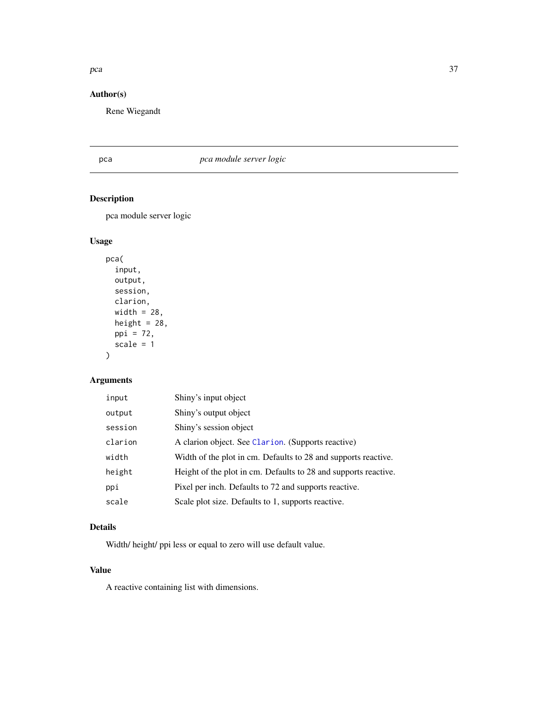#### <span id="page-36-0"></span>pca 37

#### Author(s)

Rene Wiegandt

#### pca *pca module server logic*

#### Description

pca module server logic

#### Usage

```
pca(
  input,
  output,
  session,
  clarion,
  width = 28,
  height = 28,
  ppi = 72,
  scale = 1
\mathcal{L}
```
#### Arguments

| input   | Shiny's input object                                            |
|---------|-----------------------------------------------------------------|
| output  | Shiny's output object                                           |
| session | Shiny's session object                                          |
| clarion | A clarion object. See Clarion. (Supports reactive)              |
| width   | Width of the plot in cm. Defaults to 28 and supports reactive.  |
| height  | Height of the plot in cm. Defaults to 28 and supports reactive. |
| ppi     | Pixel per inch. Defaults to 72 and supports reactive.           |
| scale   | Scale plot size. Defaults to 1, supports reactive.              |

#### Details

Width/ height/ ppi less or equal to zero will use default value.

#### Value

A reactive containing list with dimensions.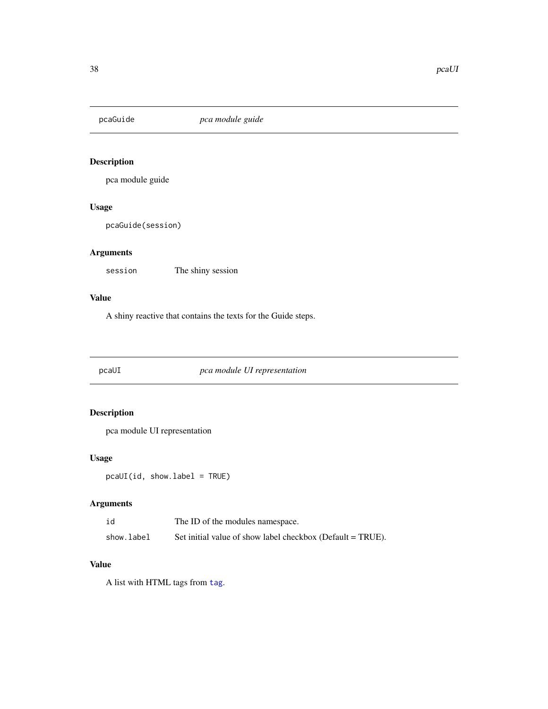<span id="page-37-0"></span>

pca module guide

#### Usage

pcaGuide(session)

#### Arguments

session The shiny session

#### Value

A shiny reactive that contains the texts for the Guide steps.

pcaUI *pca module UI representation*

#### Description

pca module UI representation

#### Usage

pcaUI(id, show.label = TRUE)

#### Arguments

| id         | The ID of the modules namespace.                           |
|------------|------------------------------------------------------------|
| show.label | Set initial value of show label checkbox (Default = TRUE). |

#### Value

A list with HTML tags from [tag](#page-0-0).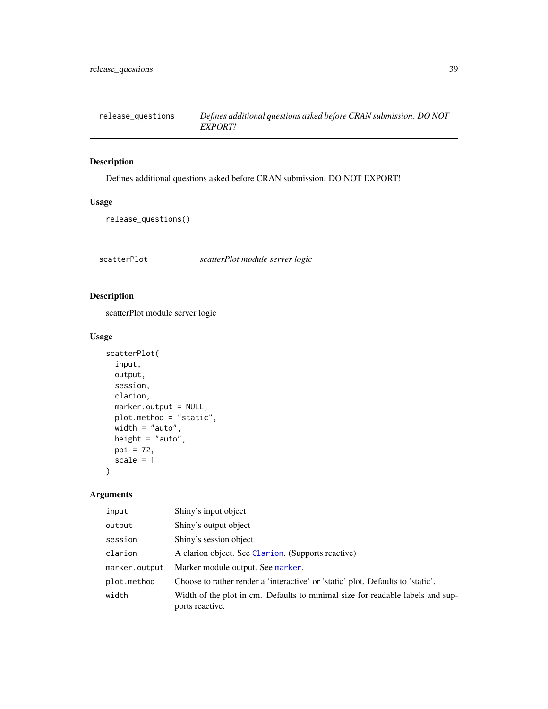<span id="page-38-0"></span>release\_questions *Defines additional questions asked before CRAN submission. DO NOT EXPORT!*

#### Description

Defines additional questions asked before CRAN submission. DO NOT EXPORT!

#### Usage

release\_questions()

scatterPlot *scatterPlot module server logic*

#### Description

scatterPlot module server logic

#### Usage

```
scatterPlot(
 input,
 output,
 session,
 clarion,
 marker.output = NULL,
 plot.method = "static",
 width = "auto",height = "auto",ppi = 72,
 scale = 1)
```

| input         | Shiny's input object                                                                              |
|---------------|---------------------------------------------------------------------------------------------------|
| output        | Shiny's output object                                                                             |
| session       | Shiny's session object                                                                            |
| clarion       | A clarion object. See Clarion. (Supports reactive)                                                |
| marker.output | Marker module output. See marker.                                                                 |
| plot.method   | Choose to rather render a 'interactive' or 'static' plot. Defaults to 'static'.                   |
| width         | Width of the plot in cm. Defaults to minimal size for readable labels and sup-<br>ports reactive. |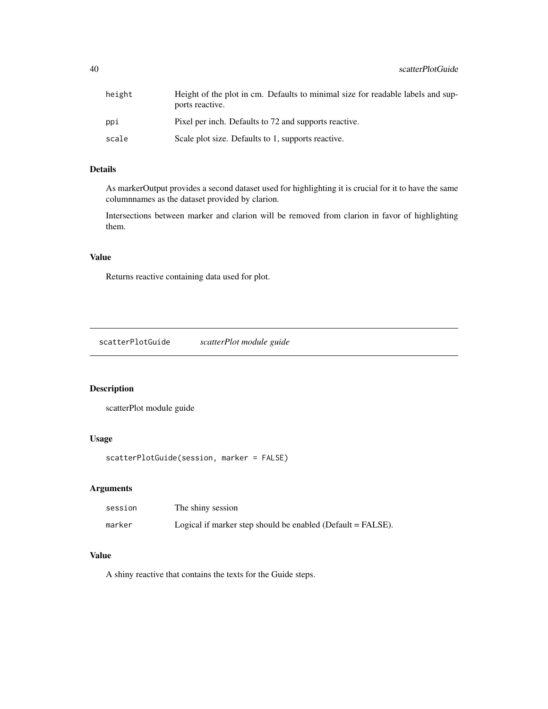<span id="page-39-0"></span>

| height | Height of the plot in cm. Defaults to minimal size for readable labels and sup-<br>ports reactive. |
|--------|----------------------------------------------------------------------------------------------------|
| ppi    | Pixel per inch. Defaults to 72 and supports reactive.                                              |
| scale  | Scale plot size. Defaults to 1, supports reactive.                                                 |

#### Details

As markerOutput provides a second dataset used for highlighting it is crucial for it to have the same columnnames as the dataset provided by clarion.

Intersections between marker and clarion will be removed from clarion in favor of highlighting them.

#### Value

Returns reactive containing data used for plot.

scatterPlotGuide *scatterPlot module guide*

#### Description

scatterPlot module guide

#### Usage

scatterPlotGuide(session, marker = FALSE)

#### Arguments

| session | The shiny session                                             |
|---------|---------------------------------------------------------------|
| marker  | Logical if marker step should be enabled (Default $=$ FALSE). |

#### Value

A shiny reactive that contains the texts for the Guide steps.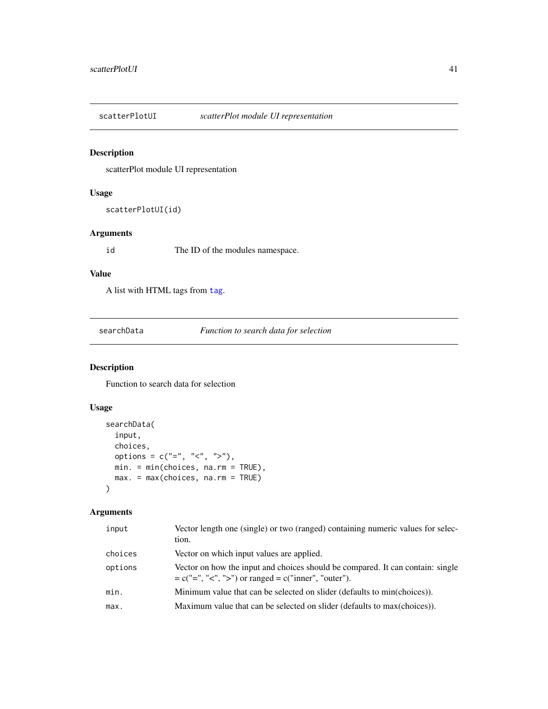<span id="page-40-0"></span>

scatterPlot module UI representation

#### Usage

scatterPlotUI(id)

#### Arguments

id The ID of the modules namespace.

#### Value

A list with HTML tags from [tag](#page-0-0).

searchData *Function to search data for selection*

#### Description

Function to search data for selection

#### Usage

```
searchData(
  input,
 choices,
 options = c("="", "&lt", ">"),
 min. = min(choices, na.rm = TRUE),
 max. = max(choices, na.rm = TRUE)
)
```

| input   | Vector length one (single) or two (ranged) containing numeric values for selec-<br>tion.                                                  |
|---------|-------------------------------------------------------------------------------------------------------------------------------------------|
| choices | Vector on which input values are applied.                                                                                                 |
| options | Vector on how the input and choices should be compared. It can contain: single<br>$= c("=", "<", ">")$ or ranged $= c("inner", "outer").$ |
| min.    | Minimum value that can be selected on slider (defaults to min(choices)).                                                                  |
| max.    | Maximum value that can be selected on slider (defaults to max(choices)).                                                                  |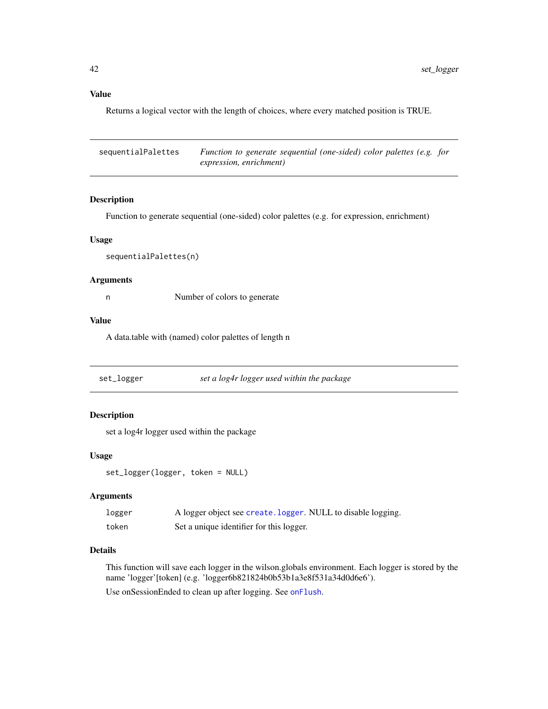Returns a logical vector with the length of choices, where every matched position is TRUE.

| sequentialPalettes | Function to generate sequential (one-sided) color palettes (e.g. for |  |
|--------------------|----------------------------------------------------------------------|--|
|                    | expression, enrichment)                                              |  |

#### Description

Function to generate sequential (one-sided) color palettes (e.g. for expression, enrichment)

#### Usage

sequentialPalettes(n)

#### Arguments

n Number of colors to generate

#### Value

A data.table with (named) color palettes of length n

set\_logger *set a log4r logger used within the package*

#### Description

set a log4r logger used within the package

#### Usage

set\_logger(logger, token = NULL)

#### Arguments

| logger | A logger object see create. logger. NULL to disable logging. |
|--------|--------------------------------------------------------------|
| token  | Set a unique identifier for this logger.                     |

#### Details

This function will save each logger in the wilson.globals environment. Each logger is stored by the name 'logger'[token] (e.g. 'logger6b821824b0b53b1a3e8f531a34d0d6e6').

Use onSessionEnded to clean up after logging. See [onFlush](#page-0-0).

<span id="page-41-0"></span>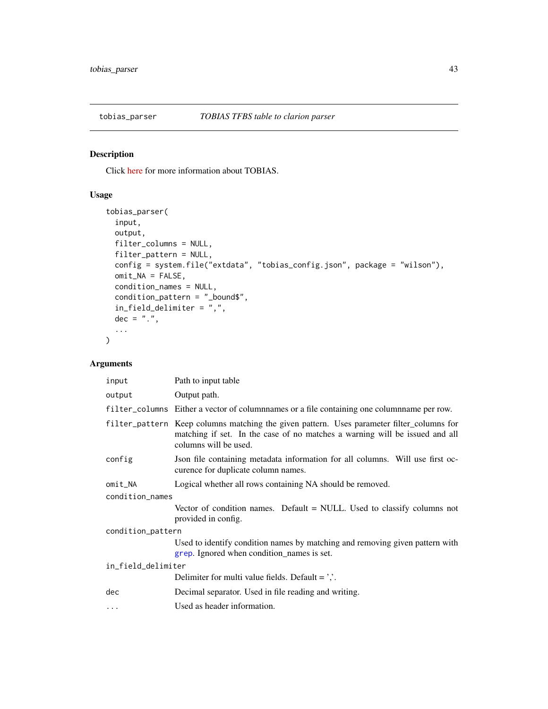<span id="page-42-0"></span>

Click [here](https://github.molgen.mpg.de/loosolab/TOBIAS) for more information about TOBIAS.

#### Usage

```
tobias_parser(
  input,
 output,
 filter_columns = NULL,
 filter_pattern = NULL,
 config = system.file("extdata", "tobias_config.json", package = "wilson"),
 omit\_NA = FALSE,condition_names = NULL,
 condition_pattern = "_bound$",
 in_field_delimiter = ",",
 dec = "."...
)
```

| input              | Path to input table                                                                                                                                                                               |  |
|--------------------|---------------------------------------------------------------------------------------------------------------------------------------------------------------------------------------------------|--|
| output             | Output path.                                                                                                                                                                                      |  |
|                    | filter_columns Either a vector of columnnames or a file containing one columnname per row.                                                                                                        |  |
|                    | filter_pattern Keep columns matching the given pattern. Uses parameter filter_columns for<br>matching if set. In the case of no matches a warning will be issued and all<br>columns will be used. |  |
| config             | Json file containing metadata information for all columns. Will use first oc-<br>curence for duplicate column names.                                                                              |  |
| omit_NA            | Logical whether all rows containing NA should be removed.                                                                                                                                         |  |
| condition_names    |                                                                                                                                                                                                   |  |
|                    | Vector of condition names. Default = NULL. Used to classify columns not<br>provided in config.                                                                                                    |  |
| condition_pattern  |                                                                                                                                                                                                   |  |
|                    | Used to identify condition names by matching and removing given pattern with<br>grep. Ignored when condition_names is set.                                                                        |  |
| in_field_delimiter |                                                                                                                                                                                                   |  |
|                    | Delimiter for multi value fields. Default $=$ $\cdot$ .                                                                                                                                           |  |
| dec                | Decimal separator. Used in file reading and writing.                                                                                                                                              |  |
| $\ddotsc$          | Used as header information.                                                                                                                                                                       |  |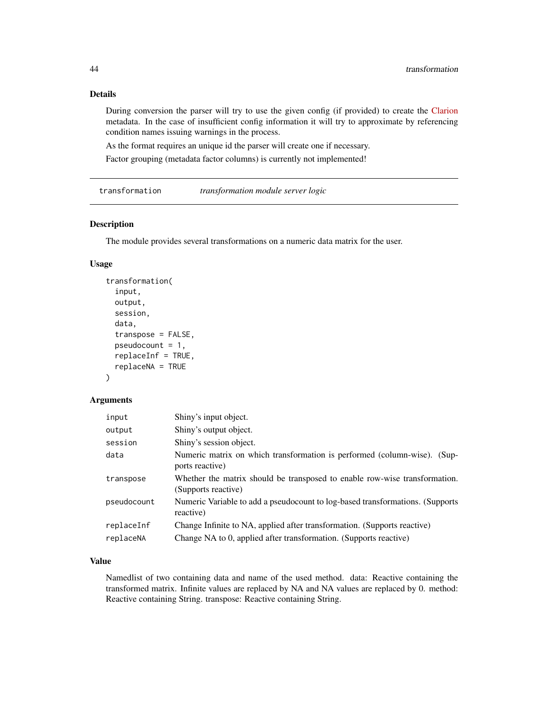#### Details

During conversion the parser will try to use the given config (if provided) to create the [Clarion](https://github.molgen.mpg.de/loosolab/wilson-apps/wiki/Local-usage:Input-format/) metadata. In the case of insufficient config information it will try to approximate by referencing condition names issuing warnings in the process.

As the format requires an unique id the parser will create one if necessary.

Factor grouping (metadata factor columns) is currently not implemented!

transformation *transformation module server logic*

#### Description

The module provides several transformations on a numeric data matrix for the user.

#### Usage

```
transformation(
  input,
  output,
  session,
  data,
  transpose = FALSE,
  pseudocount = 1,
  replaceInf = TRUE,
  replaceNA = TRUE
)
```
#### Arguments

| input       | Shiny's input object.                                                                             |
|-------------|---------------------------------------------------------------------------------------------------|
| output      | Shiny's output object.                                                                            |
| session     | Shiny's session object.                                                                           |
| data        | Numeric matrix on which transformation is performed (column-wise). (Sup-<br>ports reactive)       |
| transpose   | Whether the matrix should be transposed to enable row-wise transformation.<br>(Supports reactive) |
| pseudocount | Numeric Variable to add a pseudocount to log-based transformations. (Supports<br>reactive)        |
| replaceInf  | Change Infinite to NA, applied after transformation. (Supports reactive)                          |
| replaceNA   | Change NA to 0, applied after transformation. (Supports reactive)                                 |

#### Value

Namedlist of two containing data and name of the used method. data: Reactive containing the transformed matrix. Infinite values are replaced by NA and NA values are replaced by 0. method: Reactive containing String. transpose: Reactive containing String.

<span id="page-43-0"></span>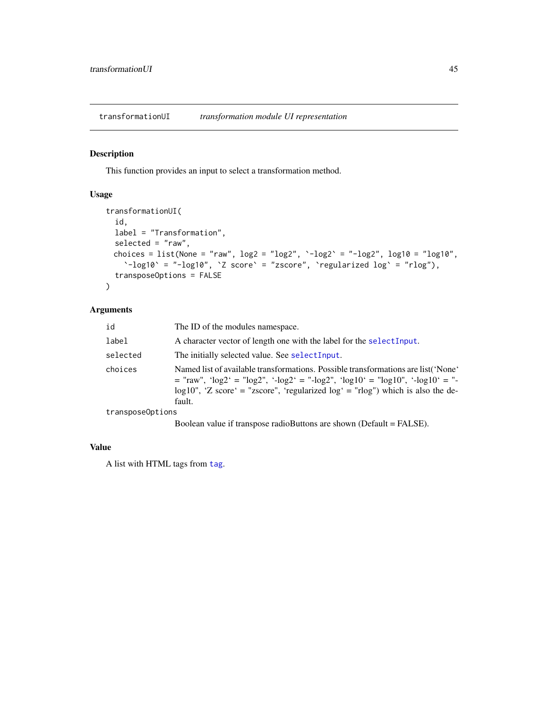<span id="page-44-0"></span>transformationUI *transformation module UI representation*

#### Description

This function provides an input to select a transformation method.

#### Usage

```
transformationUI(
  id,
  label = "Transformation",
  selected = "raw",choices = list(None = "raw", log2 = "log2", \text{-log2} = "-log2", log10 = "log10",
     \text{C}-\log 10^\circ = \text{"-log10"}, \text{C} \text{ score } \text{'} = \text{"zscore"}, \text{C} \text{ required log } \text{'} = \text{"rlog"},
  transposeOptions = FALSE
\mathcal{L}
```
#### Arguments

| id               | The ID of the modules namespace.                                                                                                                                                                                                                                        |
|------------------|-------------------------------------------------------------------------------------------------------------------------------------------------------------------------------------------------------------------------------------------------------------------------|
| label            | A character vector of length one with the label for the select Input.                                                                                                                                                                                                   |
| selected         | The initially selected value. See selectInput.                                                                                                                                                                                                                          |
| choices          | Named list of available transformations. Possible transformations are list ('None'<br>$=$ "raw", 'log2' = "log2", '-log2' = "-log2", 'log10' = "log10", '-log10' = "-<br>$log10$ ", 'Z score' = "zscore", 'regularized $log'$ = "rlog") which is also the de-<br>fault. |
| transposeOptions |                                                                                                                                                                                                                                                                         |
|                  |                                                                                                                                                                                                                                                                         |

Boolean value if transpose radioButtons are shown (Default = FALSE).

#### Value

A list with HTML tags from [tag](#page-0-0).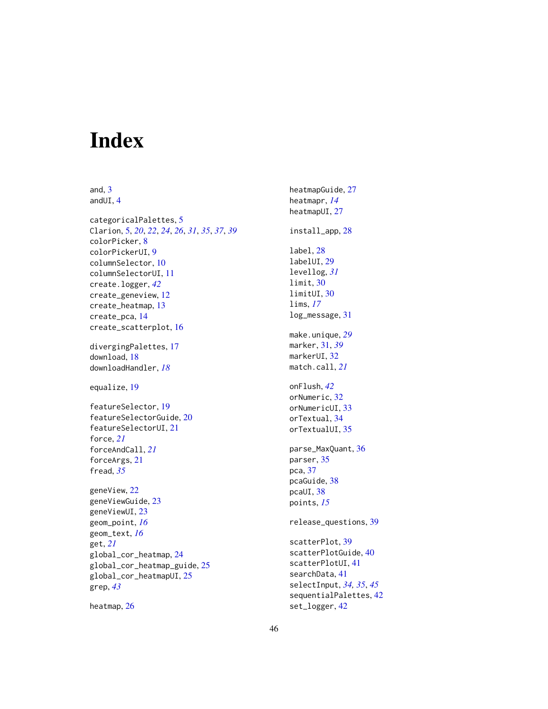# <span id="page-45-0"></span>Index

and, [3](#page-2-0)

andUI, [4](#page-3-0) categoricalPalettes, [5](#page-4-0) Clarion, [5,](#page-4-0) *[20](#page-19-0)*, *[22](#page-21-0)*, *[24](#page-23-0)*, *[26](#page-25-0)*, *[31](#page-30-0)*, *[35](#page-34-0)*, *[37](#page-36-0)*, *[39](#page-38-0)* colorPicker, [8](#page-7-0) colorPickerUI, [9](#page-8-0) columnSelector, [10](#page-9-0) columnSelectorUI, [11](#page-10-0) create.logger, *[42](#page-41-0)* create\_geneview, [12](#page-11-0) create\_heatmap, [13](#page-12-0) create\_pca, [14](#page-13-0) create\_scatterplot, [16](#page-15-0) divergingPalettes, [17](#page-16-0) download, [18](#page-17-0) downloadHandler, *[18](#page-17-0)* equalize, [19](#page-18-0) featureSelector, [19](#page-18-0) featureSelectorGuide, [20](#page-19-0) featureSelectorUI, [21](#page-20-0) force, *[21](#page-20-0)* forceAndCall, *[21](#page-20-0)* forceArgs, [21](#page-20-0) fread, *[35](#page-34-0)* geneView, [22](#page-21-0) geneViewGuide, [23](#page-22-0) geneViewUI, [23](#page-22-0) geom\_point, *[16](#page-15-0)* geom\_text, *[16](#page-15-0)* get, *[21](#page-20-0)* global\_cor\_heatmap, [24](#page-23-0) global\_cor\_heatmap\_guide, [25](#page-24-0) global\_cor\_heatmapUI, [25](#page-24-0) grep, *[43](#page-42-0)*

heatmap, [26](#page-25-0)

heatmapGuide, [27](#page-26-0) heatmapr, *[14](#page-13-0)* heatmapUI, [27](#page-26-0) install\_app, [28](#page-27-0) label, [28](#page-27-0) labelUI, [29](#page-28-0) levellog, *[31](#page-30-0)* limit, [30](#page-29-0) limitUI, [30](#page-29-0) lims, *[17](#page-16-0)* log\_message, [31](#page-30-0) make.unique, *[29](#page-28-0)* marker, [31,](#page-30-0) *[39](#page-38-0)* markerUI, [32](#page-31-0) match.call, *[21](#page-20-0)* onFlush, *[42](#page-41-0)* orNumeric, [32](#page-31-0) orNumericUI, [33](#page-32-0) orTextual, [34](#page-33-0) orTextualUI, [35](#page-34-0) parse\_MaxQuant, [36](#page-35-0) parser, [35](#page-34-0) pca, [37](#page-36-0) pcaGuide, [38](#page-37-0) pcaUI, [38](#page-37-0) points, *[15](#page-14-0)* release\_questions, [39](#page-38-0) scatterPlot, [39](#page-38-0) scatterPlotGuide, [40](#page-39-0) scatterPlotUI, [41](#page-40-0) searchData, [41](#page-40-0)

selectInput, *[34,](#page-33-0) [35](#page-34-0)*, *[45](#page-44-0)* sequentialPalettes, [42](#page-41-0)

set\_logger, [42](#page-41-0)